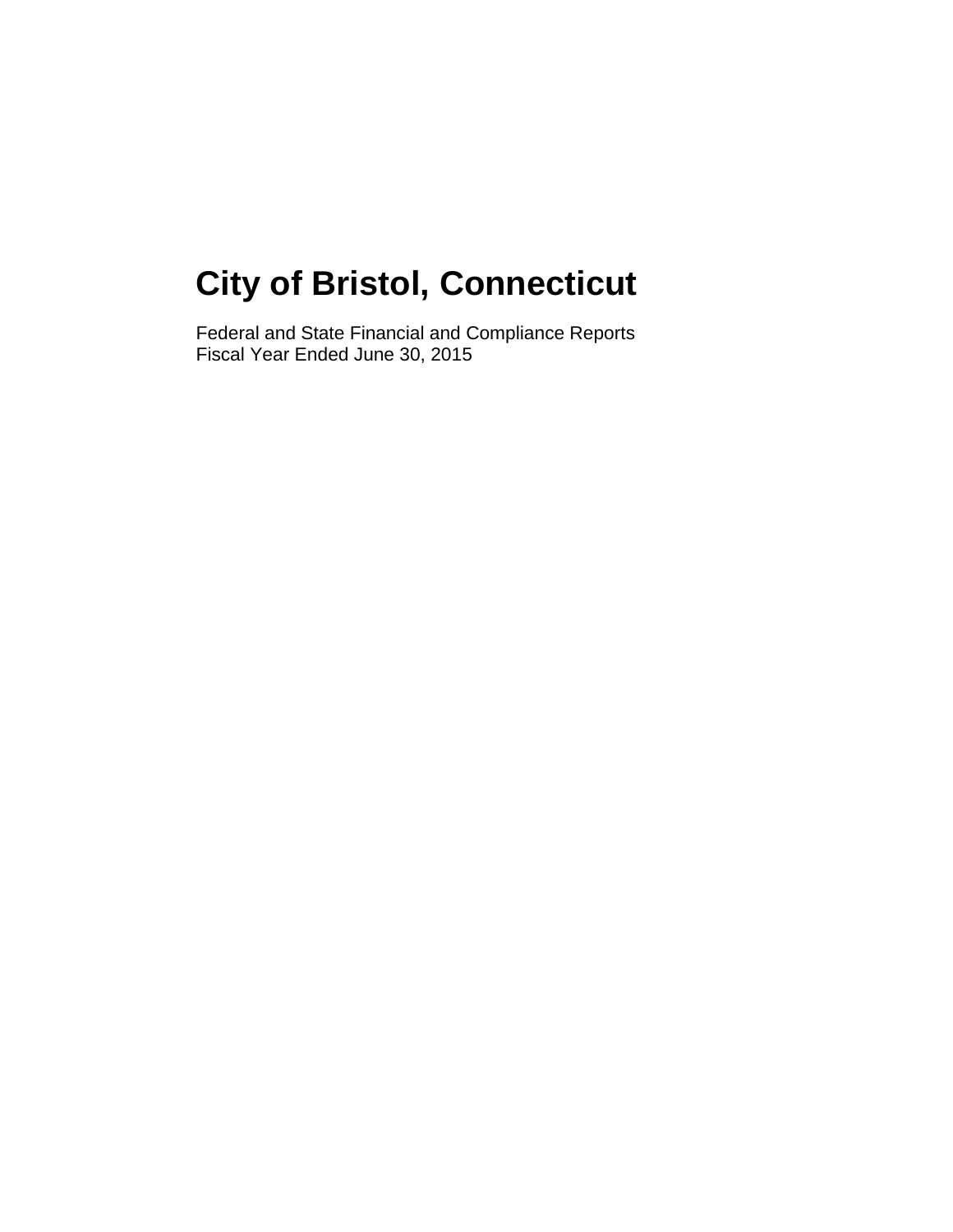Federal and State Financial and Compliance Reports Fiscal Year Ended June 30, 2015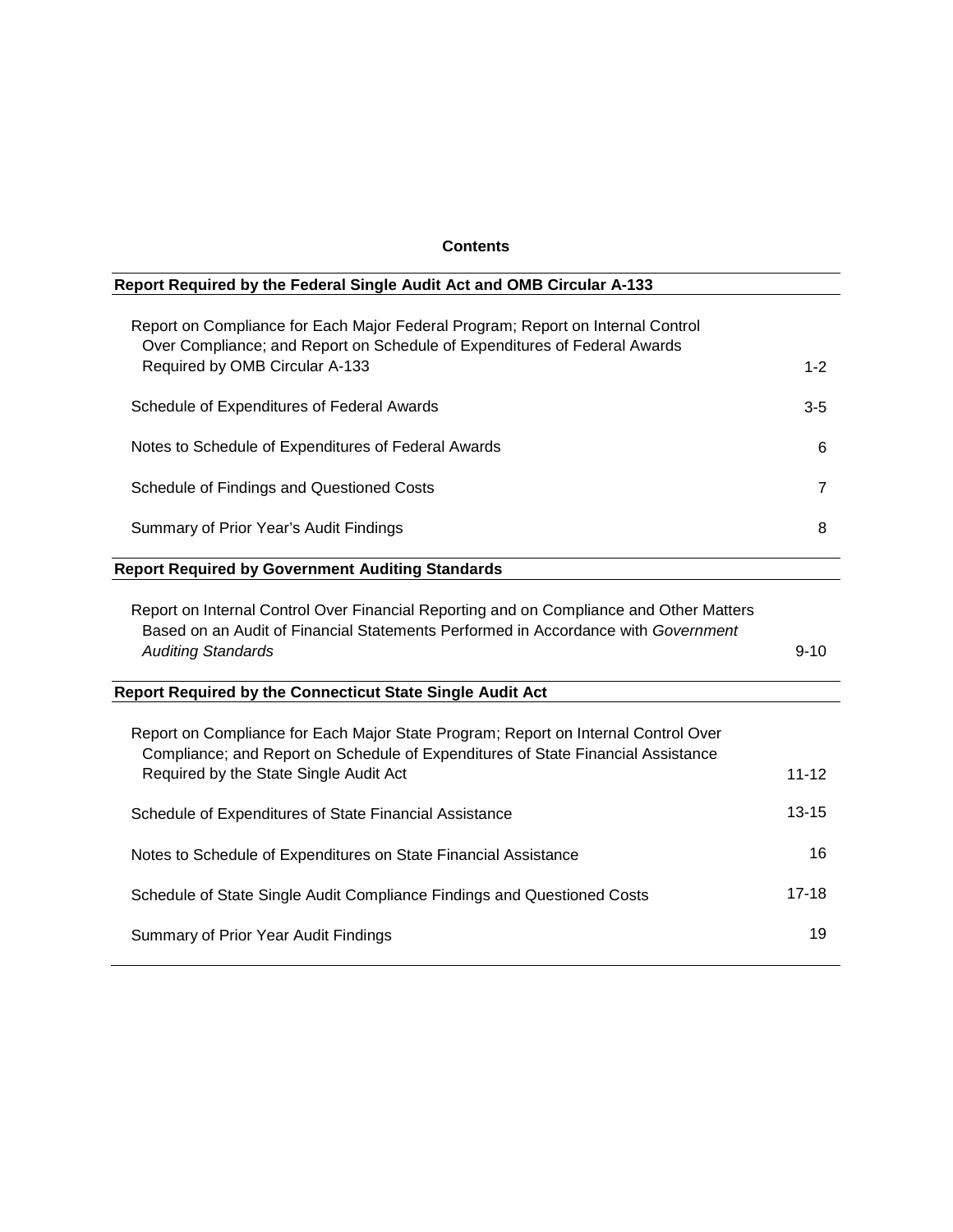# **Contents**

| Report Required by the Federal Single Audit Act and OMB Circular A-133                                                                                                                                           |                |
|------------------------------------------------------------------------------------------------------------------------------------------------------------------------------------------------------------------|----------------|
| Report on Compliance for Each Major Federal Program; Report on Internal Control<br>Over Compliance; and Report on Schedule of Expenditures of Federal Awards<br>Required by OMB Circular A-133                   | $1 - 2$        |
| Schedule of Expenditures of Federal Awards                                                                                                                                                                       | $3-5$          |
| Notes to Schedule of Expenditures of Federal Awards                                                                                                                                                              | 6              |
| Schedule of Findings and Questioned Costs                                                                                                                                                                        | $\overline{7}$ |
| Summary of Prior Year's Audit Findings                                                                                                                                                                           | 8              |
| <b>Report Required by Government Auditing Standards</b>                                                                                                                                                          |                |
| Report on Internal Control Over Financial Reporting and on Compliance and Other Matters<br>Based on an Audit of Financial Statements Performed in Accordance with Government<br><b>Auditing Standards</b>        | $9 - 10$       |
| Report Required by the Connecticut State Single Audit Act                                                                                                                                                        |                |
| Report on Compliance for Each Major State Program; Report on Internal Control Over<br>Compliance; and Report on Schedule of Expenditures of State Financial Assistance<br>Required by the State Single Audit Act | $11 - 12$      |
| Schedule of Expenditures of State Financial Assistance                                                                                                                                                           | $13 - 15$      |
| Notes to Schedule of Expenditures on State Financial Assistance                                                                                                                                                  | 16             |
| Schedule of State Single Audit Compliance Findings and Questioned Costs                                                                                                                                          | $17 - 18$      |
| Summary of Prior Year Audit Findings                                                                                                                                                                             | 19             |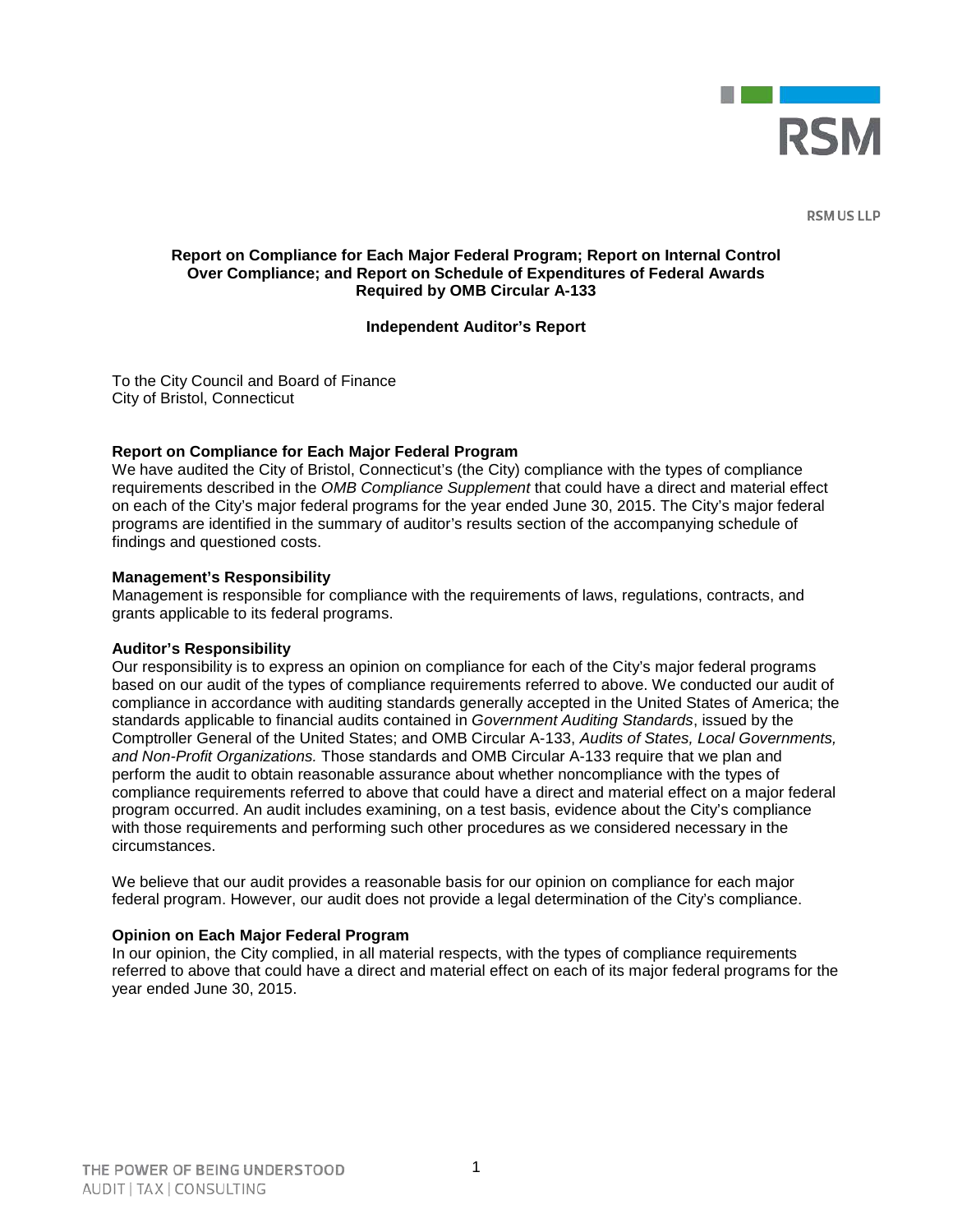

**RSMIISIIP** 

## **Report on Compliance for Each Major Federal Program; Report on Internal Control Over Compliance; and Report on Schedule of Expenditures of Federal Awards Required by OMB Circular A-133**

## **Independent Auditor's Report**

To the City Council and Board of Finance City of Bristol, Connecticut

## **Report on Compliance for Each Major Federal Program**

We have audited the City of Bristol, Connecticut's (the City) compliance with the types of compliance requirements described in the *OMB Compliance Supplement* that could have a direct and material effect on each of the City's major federal programs for the year ended June 30, 2015. The City's major federal programs are identified in the summary of auditor's results section of the accompanying schedule of findings and questioned costs.

## **Management's Responsibility**

Management is responsible for compliance with the requirements of laws, regulations, contracts, and grants applicable to its federal programs.

## **Auditor's Responsibility**

Our responsibility is to express an opinion on compliance for each of the City's major federal programs based on our audit of the types of compliance requirements referred to above. We conducted our audit of compliance in accordance with auditing standards generally accepted in the United States of America; the standards applicable to financial audits contained in *Government Auditing Standards*, issued by the Comptroller General of the United States; and OMB Circular A-133, *Audits of States, Local Governments, and Non-Profit Organizations.* Those standards and OMB Circular A-133 require that we plan and perform the audit to obtain reasonable assurance about whether noncompliance with the types of compliance requirements referred to above that could have a direct and material effect on a major federal program occurred. An audit includes examining, on a test basis, evidence about the City's compliance with those requirements and performing such other procedures as we considered necessary in the circumstances.

We believe that our audit provides a reasonable basis for our opinion on compliance for each major federal program. However, our audit does not provide a legal determination of the City's compliance.

## **Opinion on Each Major Federal Program**

In our opinion, the City complied, in all material respects, with the types of compliance requirements referred to above that could have a direct and material effect on each of its major federal programs for the year ended June 30, 2015.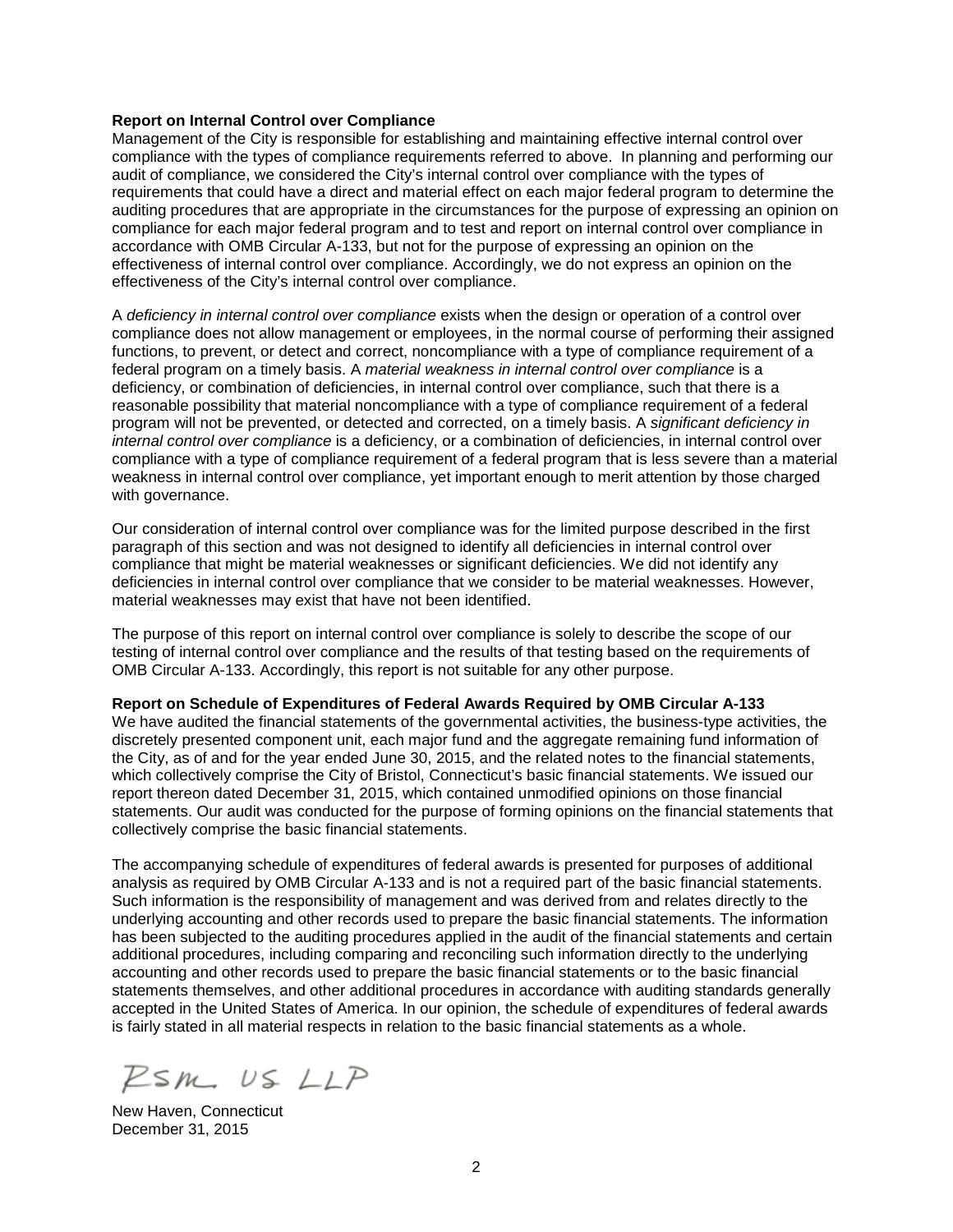#### **Report on Internal Control over Compliance**

Management of the City is responsible for establishing and maintaining effective internal control over compliance with the types of compliance requirements referred to above. In planning and performing our audit of compliance, we considered the City's internal control over compliance with the types of requirements that could have a direct and material effect on each major federal program to determine the auditing procedures that are appropriate in the circumstances for the purpose of expressing an opinion on compliance for each major federal program and to test and report on internal control over compliance in accordance with OMB Circular A-133, but not for the purpose of expressing an opinion on the effectiveness of internal control over compliance. Accordingly, we do not express an opinion on the effectiveness of the City's internal control over compliance.

A *deficiency in internal control over compliance* exists when the design or operation of a control over compliance does not allow management or employees, in the normal course of performing their assigned functions, to prevent, or detect and correct, noncompliance with a type of compliance requirement of a federal program on a timely basis. A *material weakness in internal control over compliance* is a deficiency, or combination of deficiencies, in internal control over compliance, such that there is a reasonable possibility that material noncompliance with a type of compliance requirement of a federal program will not be prevented, or detected and corrected, on a timely basis. A *significant deficiency in internal control over compliance* is a deficiency, or a combination of deficiencies, in internal control over compliance with a type of compliance requirement of a federal program that is less severe than a material weakness in internal control over compliance, yet important enough to merit attention by those charged with governance.

Our consideration of internal control over compliance was for the limited purpose described in the first paragraph of this section and was not designed to identify all deficiencies in internal control over compliance that might be material weaknesses or significant deficiencies. We did not identify any deficiencies in internal control over compliance that we consider to be material weaknesses. However, material weaknesses may exist that have not been identified.

The purpose of this report on internal control over compliance is solely to describe the scope of our testing of internal control over compliance and the results of that testing based on the requirements of OMB Circular A-133. Accordingly, this report is not suitable for any other purpose.

#### **Report on Schedule of Expenditures of Federal Awards Required by OMB Circular A-133**

We have audited the financial statements of the governmental activities, the business-type activities, the discretely presented component unit, each major fund and the aggregate remaining fund information of the City, as of and for the year ended June 30, 2015, and the related notes to the financial statements, which collectively comprise the City of Bristol, Connecticut's basic financial statements. We issued our report thereon dated December 31, 2015, which contained unmodified opinions on those financial statements. Our audit was conducted for the purpose of forming opinions on the financial statements that collectively comprise the basic financial statements.

The accompanying schedule of expenditures of federal awards is presented for purposes of additional analysis as required by OMB Circular A-133 and is not a required part of the basic financial statements. Such information is the responsibility of management and was derived from and relates directly to the underlying accounting and other records used to prepare the basic financial statements. The information has been subjected to the auditing procedures applied in the audit of the financial statements and certain additional procedures, including comparing and reconciling such information directly to the underlying accounting and other records used to prepare the basic financial statements or to the basic financial statements themselves, and other additional procedures in accordance with auditing standards generally accepted in the United States of America. In our opinion, the schedule of expenditures of federal awards is fairly stated in all material respects in relation to the basic financial statements as a whole.

 $PSM.$  US  $LLP$ 

New Haven, Connecticut December 31, 2015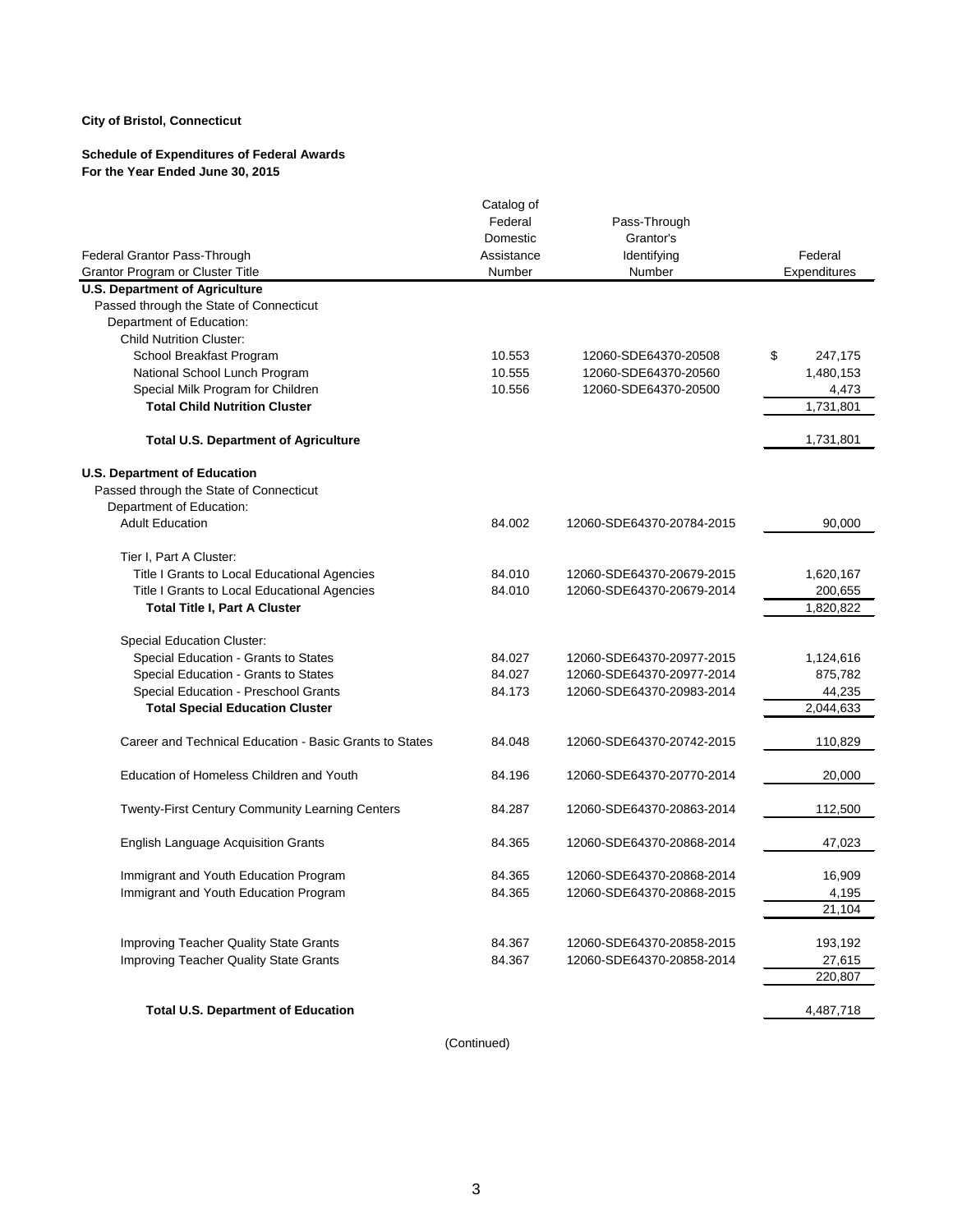#### **Schedule of Expenditures of Federal Awards For the Year Ended June 30, 2015**

|                                                         | Catalog of |                           |               |
|---------------------------------------------------------|------------|---------------------------|---------------|
|                                                         | Federal    | Pass-Through              |               |
|                                                         | Domestic   | Grantor's                 |               |
| Federal Grantor Pass-Through                            | Assistance | Identifying               | Federal       |
| Grantor Program or Cluster Title                        | Number     | Number                    | Expenditures  |
| <b>U.S. Department of Agriculture</b>                   |            |                           |               |
| Passed through the State of Connecticut                 |            |                           |               |
| Department of Education:                                |            |                           |               |
| <b>Child Nutrition Cluster:</b>                         |            |                           |               |
| School Breakfast Program                                | 10.553     | 12060-SDE64370-20508      | \$<br>247,175 |
| National School Lunch Program                           | 10.555     | 12060-SDE64370-20560      | 1,480,153     |
| Special Milk Program for Children                       | 10.556     | 12060-SDE64370-20500      | 4,473         |
| <b>Total Child Nutrition Cluster</b>                    |            |                           | 1,731,801     |
| <b>Total U.S. Department of Agriculture</b>             |            |                           | 1,731,801     |
| <b>U.S. Department of Education</b>                     |            |                           |               |
| Passed through the State of Connecticut                 |            |                           |               |
| Department of Education:                                |            |                           |               |
| <b>Adult Education</b>                                  | 84.002     | 12060-SDE64370-20784-2015 | 90,000        |
| Tier I, Part A Cluster:                                 |            |                           |               |
| Title I Grants to Local Educational Agencies            | 84.010     | 12060-SDE64370-20679-2015 | 1,620,167     |
| Title I Grants to Local Educational Agencies            | 84.010     | 12060-SDE64370-20679-2014 | 200,655       |
| <b>Total Title I, Part A Cluster</b>                    |            |                           | 1,820,822     |
| <b>Special Education Cluster:</b>                       |            |                           |               |
| Special Education - Grants to States                    | 84.027     | 12060-SDE64370-20977-2015 | 1,124,616     |
| Special Education - Grants to States                    | 84.027     | 12060-SDE64370-20977-2014 | 875,782       |
| Special Education - Preschool Grants                    | 84.173     | 12060-SDE64370-20983-2014 | 44,235        |
| <b>Total Special Education Cluster</b>                  |            |                           | 2,044,633     |
|                                                         |            |                           |               |
| Career and Technical Education - Basic Grants to States | 84.048     | 12060-SDE64370-20742-2015 | 110,829       |
| Education of Homeless Children and Youth                | 84.196     | 12060-SDE64370-20770-2014 | 20,000        |
| Twenty-First Century Community Learning Centers         | 84.287     | 12060-SDE64370-20863-2014 | 112,500       |
|                                                         |            |                           |               |
| <b>English Language Acquisition Grants</b>              | 84.365     | 12060-SDE64370-20868-2014 | 47,023        |
| Immigrant and Youth Education Program                   | 84.365     | 12060-SDE64370-20868-2014 | 16,909        |
| Immigrant and Youth Education Program                   | 84.365     | 12060-SDE64370-20868-2015 | 4,195         |
|                                                         |            |                           | 21,104        |
| Improving Teacher Quality State Grants                  | 84.367     | 12060-SDE64370-20858-2015 | 193,192       |
| Improving Teacher Quality State Grants                  | 84.367     | 12060-SDE64370-20858-2014 | 27,615        |
|                                                         |            |                           | 220,807       |
| <b>Total U.S. Department of Education</b>               |            |                           | 4,487,718     |

(Continued)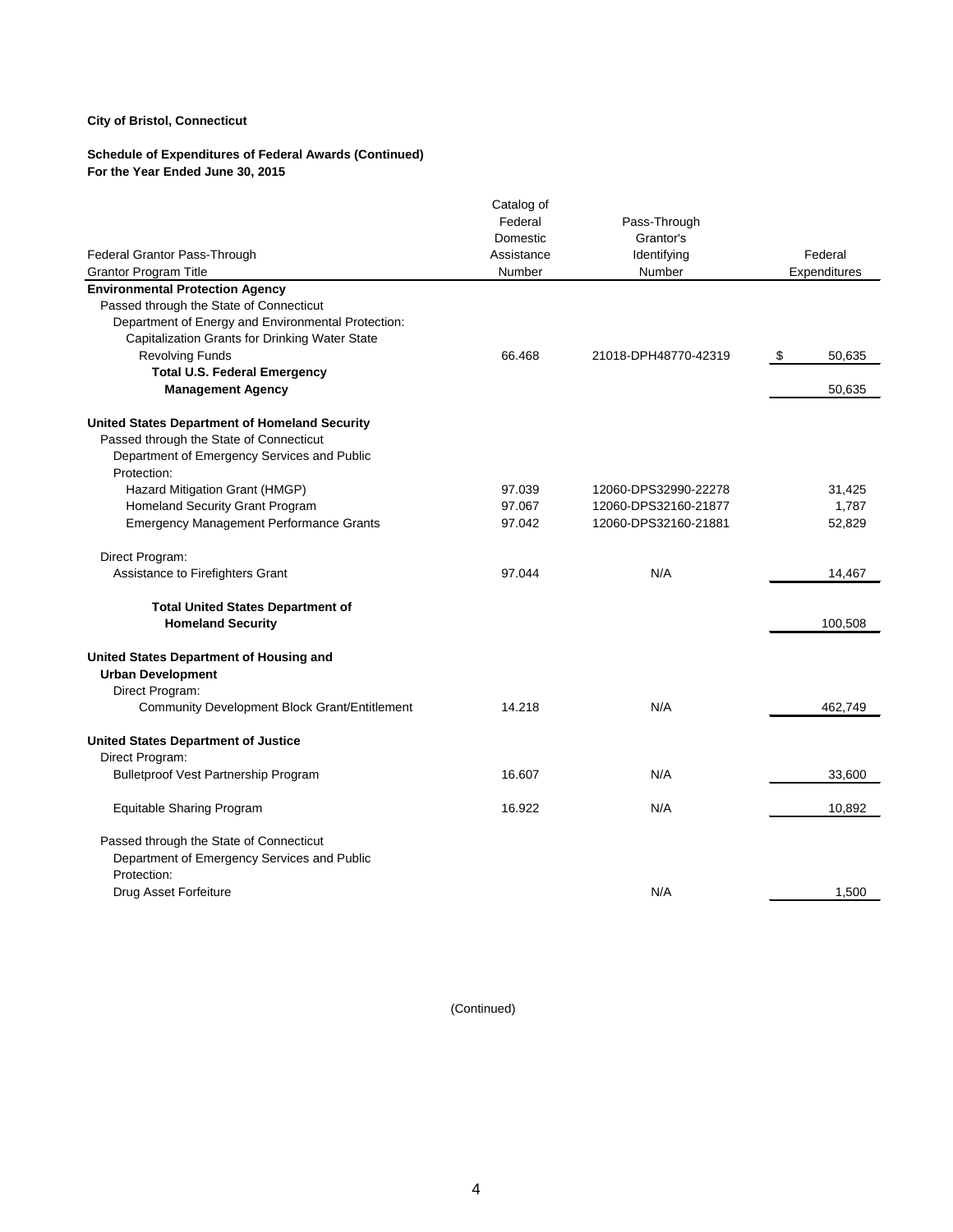## **Schedule of Expenditures of Federal Awards (Continued) For the Year Ended June 30, 2015**

|                                                      | Catalog of |                      |              |
|------------------------------------------------------|------------|----------------------|--------------|
|                                                      | Federal    | Pass-Through         |              |
|                                                      | Domestic   | Grantor's            |              |
| Federal Grantor Pass-Through                         | Assistance | Identifying          | Federal      |
| <b>Grantor Program Title</b>                         | Number     | Number               | Expenditures |
| <b>Environmental Protection Agency</b>               |            |                      |              |
| Passed through the State of Connecticut              |            |                      |              |
| Department of Energy and Environmental Protection:   |            |                      |              |
| Capitalization Grants for Drinking Water State       |            |                      |              |
| <b>Revolving Funds</b>                               | 66.468     | 21018-DPH48770-42319 | \$<br>50.635 |
| <b>Total U.S. Federal Emergency</b>                  |            |                      |              |
| <b>Management Agency</b>                             |            |                      | 50,635       |
| United States Department of Homeland Security        |            |                      |              |
| Passed through the State of Connecticut              |            |                      |              |
| Department of Emergency Services and Public          |            |                      |              |
| Protection:                                          |            |                      |              |
| Hazard Mitigation Grant (HMGP)                       | 97.039     | 12060-DPS32990-22278 | 31,425       |
| Homeland Security Grant Program                      | 97.067     | 12060-DPS32160-21877 | 1,787        |
| <b>Emergency Management Performance Grants</b>       | 97.042     | 12060-DPS32160-21881 | 52,829       |
| Direct Program:                                      |            |                      |              |
| Assistance to Firefighters Grant                     | 97.044     | N/A                  | 14,467       |
| <b>Total United States Department of</b>             |            |                      |              |
| <b>Homeland Security</b>                             |            |                      | 100,508      |
| United States Department of Housing and              |            |                      |              |
| <b>Urban Development</b>                             |            |                      |              |
| Direct Program:                                      |            |                      |              |
| <b>Community Development Block Grant/Entitlement</b> | 14.218     | N/A                  | 462,749      |
| <b>United States Department of Justice</b>           |            |                      |              |
| Direct Program:                                      |            |                      |              |
| <b>Bulletproof Vest Partnership Program</b>          | 16.607     | N/A                  | 33.600       |
| <b>Equitable Sharing Program</b>                     | 16.922     | N/A                  | 10,892       |
| Passed through the State of Connecticut              |            |                      |              |
| Department of Emergency Services and Public          |            |                      |              |
| Protection:                                          |            |                      |              |
| Drug Asset Forfeiture                                |            | N/A                  | 1,500        |
|                                                      |            |                      |              |

(Continued)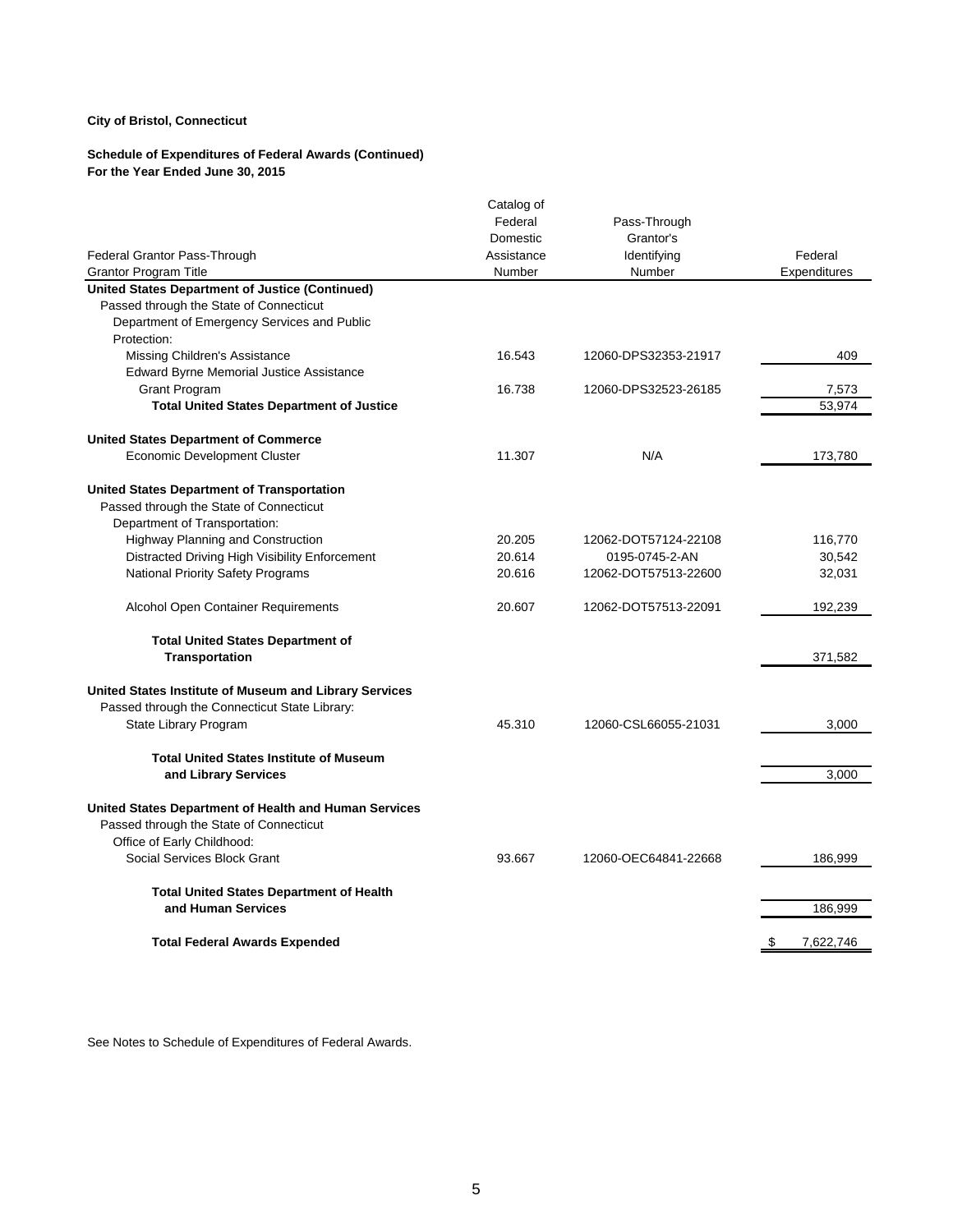## **Schedule of Expenditures of Federal Awards (Continued) For the Year Ended June 30, 2015**

|                                                        | Catalog of |                      |              |
|--------------------------------------------------------|------------|----------------------|--------------|
|                                                        | Federal    | Pass-Through         |              |
|                                                        | Domestic   | Grantor's            |              |
| Federal Grantor Pass-Through                           | Assistance | Identifying          | Federal      |
| <b>Grantor Program Title</b>                           | Number     | Number               | Expenditures |
| <b>United States Department of Justice (Continued)</b> |            |                      |              |
| Passed through the State of Connecticut                |            |                      |              |
| Department of Emergency Services and Public            |            |                      |              |
| Protection:                                            |            |                      |              |
| Missing Children's Assistance                          | 16.543     | 12060-DPS32353-21917 | 409          |
| <b>Edward Byrne Memorial Justice Assistance</b>        |            |                      |              |
| <b>Grant Program</b>                                   | 16.738     | 12060-DPS32523-26185 | 7,573        |
| <b>Total United States Department of Justice</b>       |            |                      | 53,974       |
|                                                        |            |                      |              |
| <b>United States Department of Commerce</b>            |            |                      |              |
| Economic Development Cluster                           | 11.307     | N/A                  | 173,780      |
|                                                        |            |                      |              |
| United States Department of Transportation             |            |                      |              |
| Passed through the State of Connecticut                |            |                      |              |
| Department of Transportation:                          |            |                      |              |
| <b>Highway Planning and Construction</b>               | 20.205     | 12062-DOT57124-22108 | 116,770      |
| Distracted Driving High Visibility Enforcement         | 20.614     | 0195-0745-2-AN       | 30,542       |
| <b>National Priority Safety Programs</b>               | 20.616     | 12062-DOT57513-22600 | 32,031       |
|                                                        |            |                      |              |
| <b>Alcohol Open Container Requirements</b>             | 20.607     | 12062-DOT57513-22091 | 192,239      |
|                                                        |            |                      |              |
| <b>Total United States Department of</b>               |            |                      |              |
| <b>Transportation</b>                                  |            |                      | 371,582      |
|                                                        |            |                      |              |
| United States Institute of Museum and Library Services |            |                      |              |
| Passed through the Connecticut State Library:          |            |                      |              |
| State Library Program                                  | 45.310     | 12060-CSL66055-21031 | 3.000        |
|                                                        |            |                      |              |
| <b>Total United States Institute of Museum</b>         |            |                      |              |
| and Library Services                                   |            |                      | 3,000        |
|                                                        |            |                      |              |
| United States Department of Health and Human Services  |            |                      |              |
| Passed through the State of Connecticut                |            |                      |              |
| Office of Early Childhood:                             |            |                      |              |
| Social Services Block Grant                            | 93.667     | 12060-OEC64841-22668 | 186,999      |
|                                                        |            |                      |              |
| <b>Total United States Department of Health</b>        |            |                      |              |
| and Human Services                                     |            |                      | 186,999      |
|                                                        |            |                      | 7,622,746    |
| <b>Total Federal Awards Expended</b>                   |            |                      | \$           |

See Notes to Schedule of Expenditures of Federal Awards.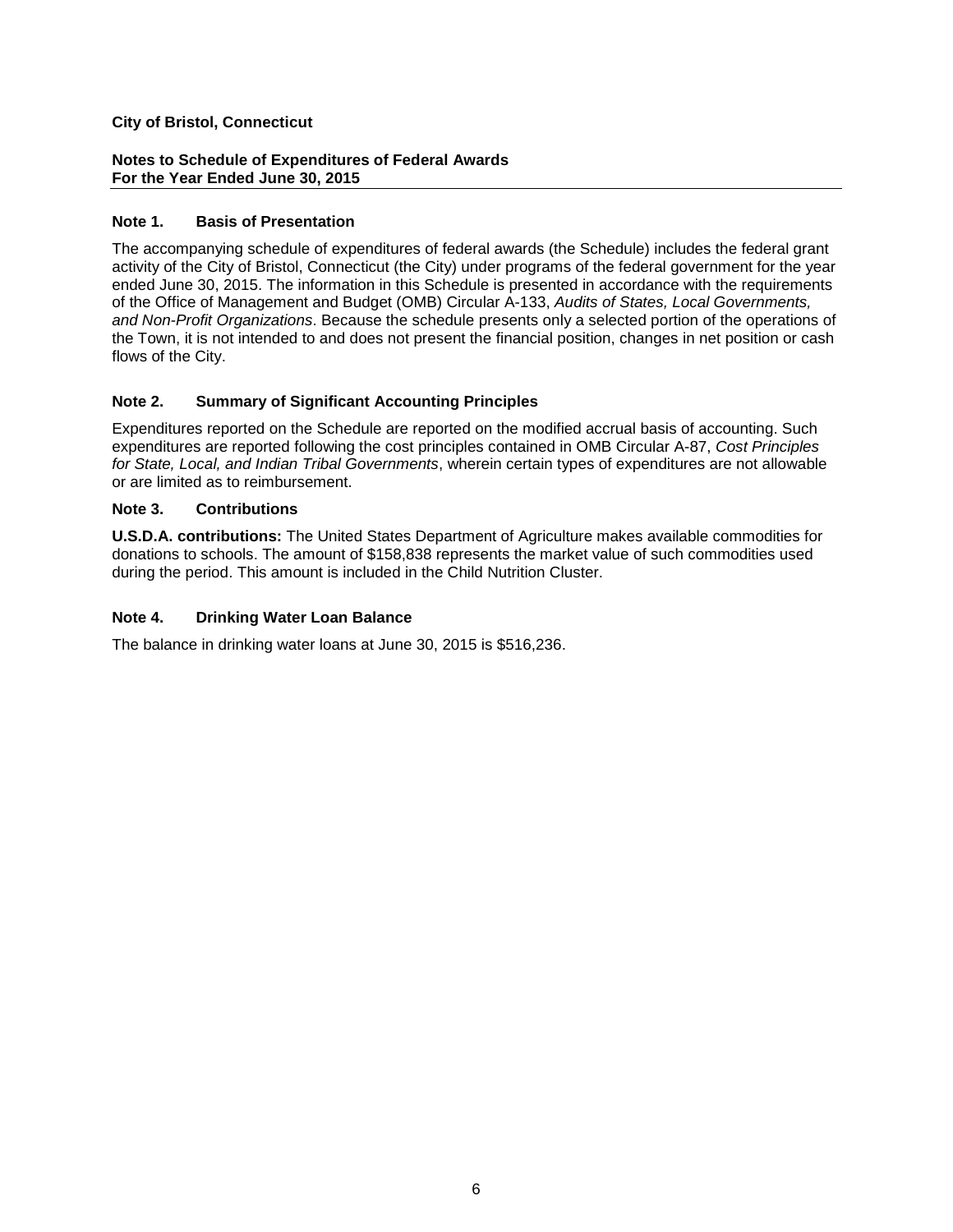## **Notes to Schedule of Expenditures of Federal Awards For the Year Ended June 30, 2015**

## **Note 1. Basis of Presentation**

The accompanying schedule of expenditures of federal awards (the Schedule) includes the federal grant activity of the City of Bristol, Connecticut (the City) under programs of the federal government for the year ended June 30, 2015. The information in this Schedule is presented in accordance with the requirements of the Office of Management and Budget (OMB) Circular A-133, *Audits of States, Local Governments, and Non-Profit Organizations*. Because the schedule presents only a selected portion of the operations of the Town, it is not intended to and does not present the financial position, changes in net position or cash flows of the City.

## **Note 2. Summary of Significant Accounting Principles**

Expenditures reported on the Schedule are reported on the modified accrual basis of accounting. Such expenditures are reported following the cost principles contained in OMB Circular A-87, *Cost Principles for State, Local, and Indian Tribal Governments*, wherein certain types of expenditures are not allowable or are limited as to reimbursement.

## **Note 3. Contributions**

**U.S.D.A. contributions:** The United States Department of Agriculture makes available commodities for donations to schools. The amount of \$158,838 represents the market value of such commodities used during the period. This amount is included in the Child Nutrition Cluster.

## **Note 4. Drinking Water Loan Balance**

The balance in drinking water loans at June 30, 2015 is \$516,236.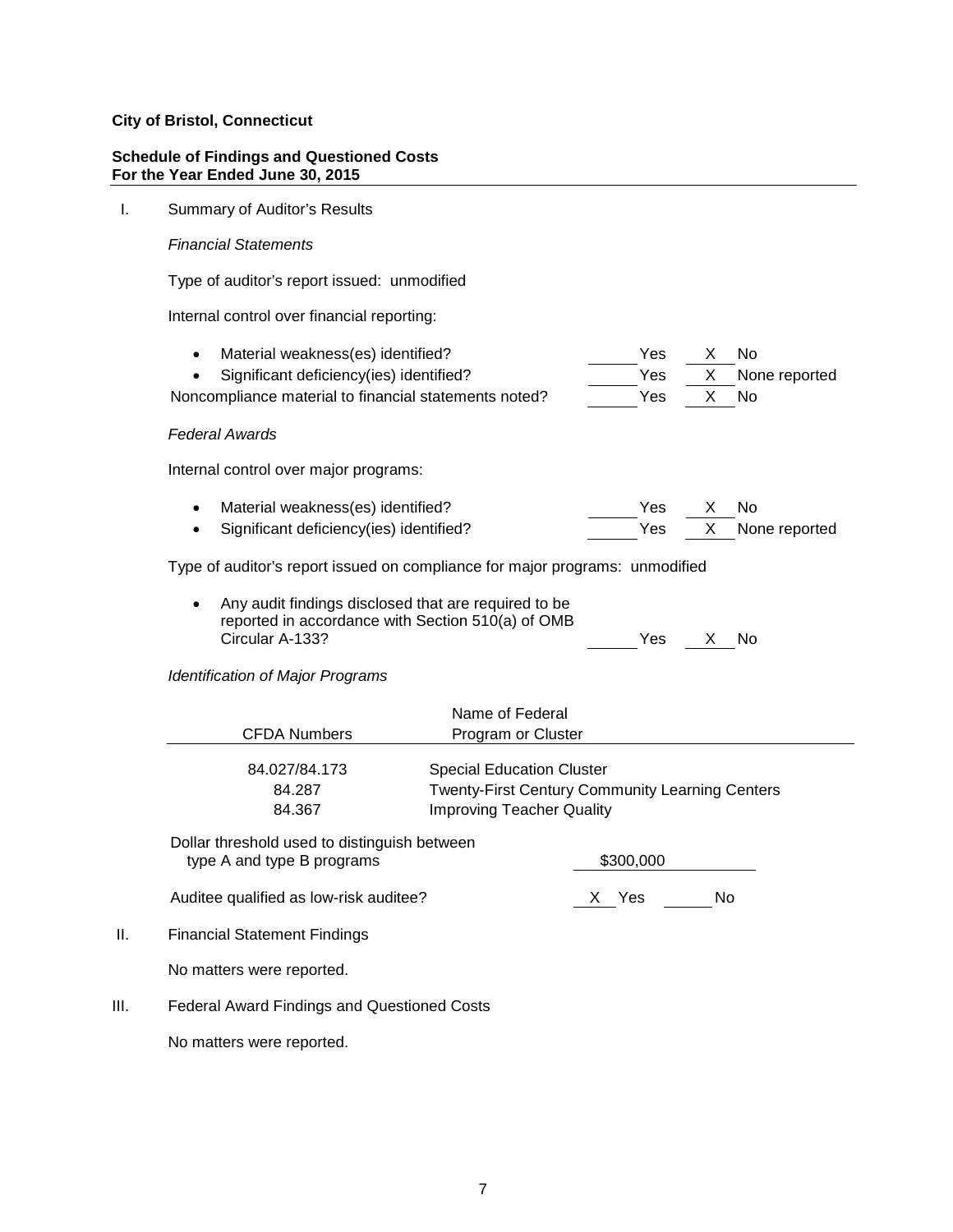#### **Schedule of Findings and Questioned Costs For the Year Ended June 30, 2015**

I. Summary of Auditor's Results

#### *Financial Statements*

Type of auditor's report issued: unmodified

Internal control over financial reporting:

| Material weakness(es) identified?                     | Yes | . No                |
|-------------------------------------------------------|-----|---------------------|
| • Significant deficiency(ies) identified?             |     | Yes X None reported |
| Noncompliance material to financial statements noted? | Yes | X No                |

#### *Federal Awards*

Internal control over major programs:

- Material weakness(es) identified? The Material Wes X No
- Significant deficiency(ies) identified? Yes X None reported

Type of auditor's report issued on compliance for major programs: unmodified

• Any audit findings disclosed that are required to be reported in accordance with Section 510(a) of OMB Yes X No

*Identification of Major Programs*

|                                   | Name of Federal                                                                                                                |
|-----------------------------------|--------------------------------------------------------------------------------------------------------------------------------|
| <b>CFDA Numbers</b>               | Program or Cluster                                                                                                             |
| 84.027/84.173<br>84.287<br>84.367 | <b>Special Education Cluster</b><br><b>Twenty-First Century Community Learning Centers</b><br><b>Improving Teacher Quality</b> |

Dollar threshold used to distinguish between type A and type B programs  $$300,000$ 

Auditee qualified as low-risk auditee? 
West Mo

II. Financial Statement Findings

No matters were reported.

III. Federal Award Findings and Questioned Costs

No matters were reported.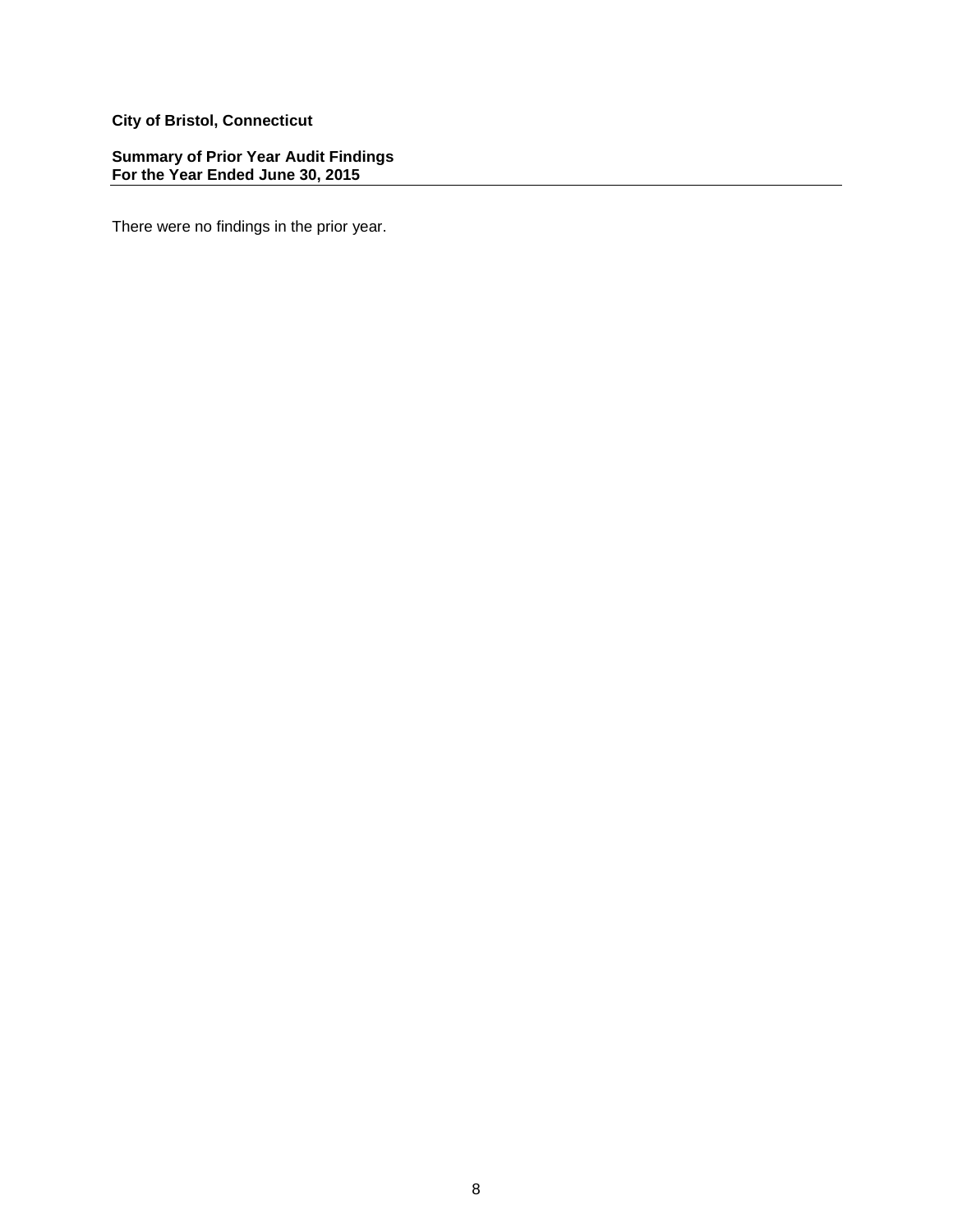## **Summary of Prior Year Audit Findings For the Year Ended June 30, 2015**

There were no findings in the prior year.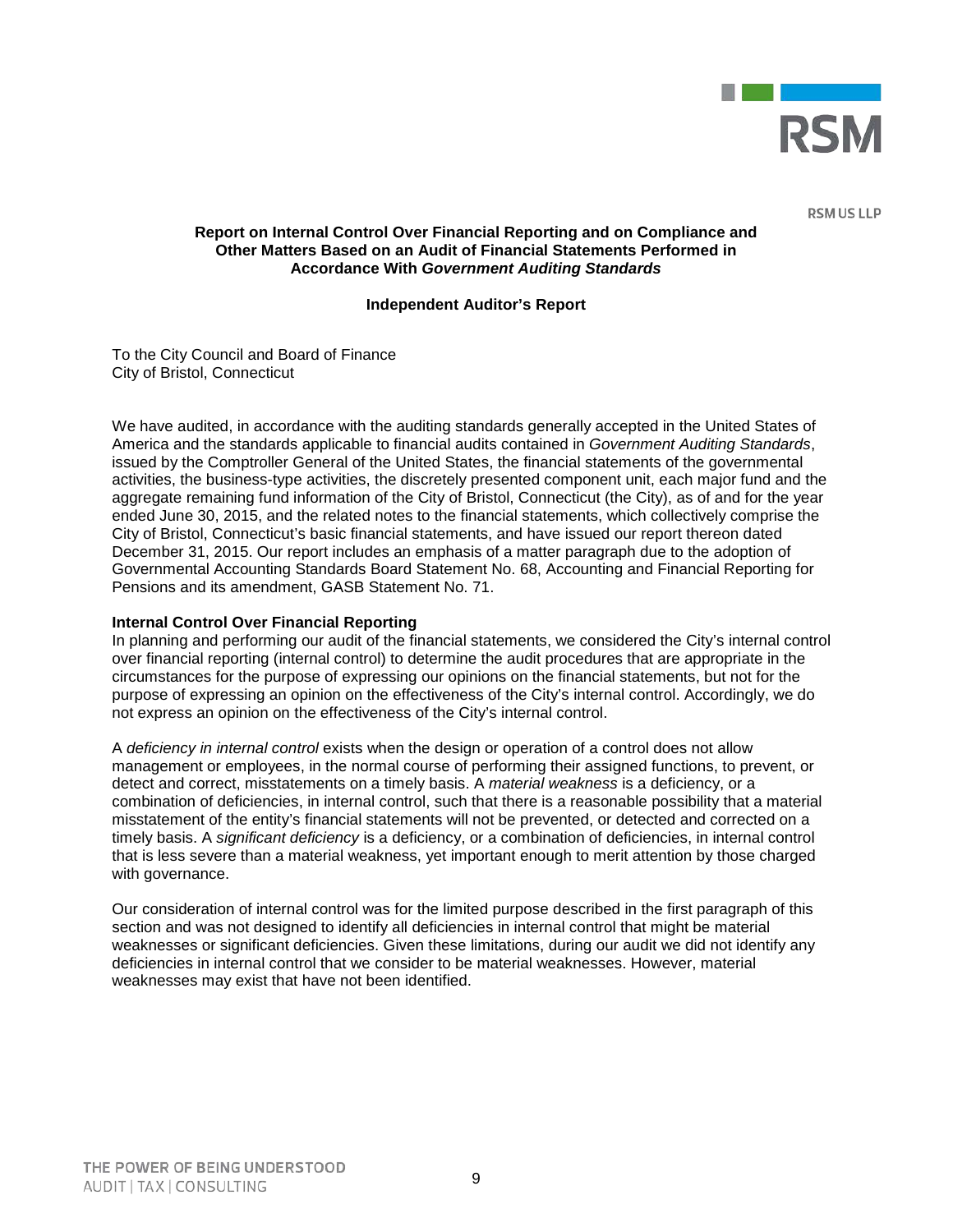

RSM US LLP

## **Report on Internal Control Over Financial Reporting and on Compliance and Other Matters Based on an Audit of Financial Statements Performed in Accordance With** *Government Auditing Standards*

## **Independent Auditor's Report**

To the City Council and Board of Finance City of Bristol, Connecticut

We have audited, in accordance with the auditing standards generally accepted in the United States of America and the standards applicable to financial audits contained in *Government Auditing Standards*, issued by the Comptroller General of the United States, the financial statements of the governmental activities, the business-type activities, the discretely presented component unit, each major fund and the aggregate remaining fund information of the City of Bristol, Connecticut (the City), as of and for the year ended June 30, 2015, and the related notes to the financial statements, which collectively comprise the City of Bristol, Connecticut's basic financial statements, and have issued our report thereon dated December 31, 2015. Our report includes an emphasis of a matter paragraph due to the adoption of Governmental Accounting Standards Board Statement No. 68, Accounting and Financial Reporting for Pensions and its amendment, GASB Statement No. 71.

## **Internal Control Over Financial Reporting**

In planning and performing our audit of the financial statements, we considered the City's internal control over financial reporting (internal control) to determine the audit procedures that are appropriate in the circumstances for the purpose of expressing our opinions on the financial statements, but not for the purpose of expressing an opinion on the effectiveness of the City's internal control. Accordingly, we do not express an opinion on the effectiveness of the City's internal control.

A *deficiency in internal control* exists when the design or operation of a control does not allow management or employees, in the normal course of performing their assigned functions, to prevent, or detect and correct, misstatements on a timely basis. A *material weakness* is a deficiency, or a combination of deficiencies, in internal control, such that there is a reasonable possibility that a material misstatement of the entity's financial statements will not be prevented, or detected and corrected on a timely basis. A *significant deficiency* is a deficiency, or a combination of deficiencies, in internal control that is less severe than a material weakness, yet important enough to merit attention by those charged with governance.

Our consideration of internal control was for the limited purpose described in the first paragraph of this section and was not designed to identify all deficiencies in internal control that might be material weaknesses or significant deficiencies. Given these limitations, during our audit we did not identify any deficiencies in internal control that we consider to be material weaknesses. However, material weaknesses may exist that have not been identified.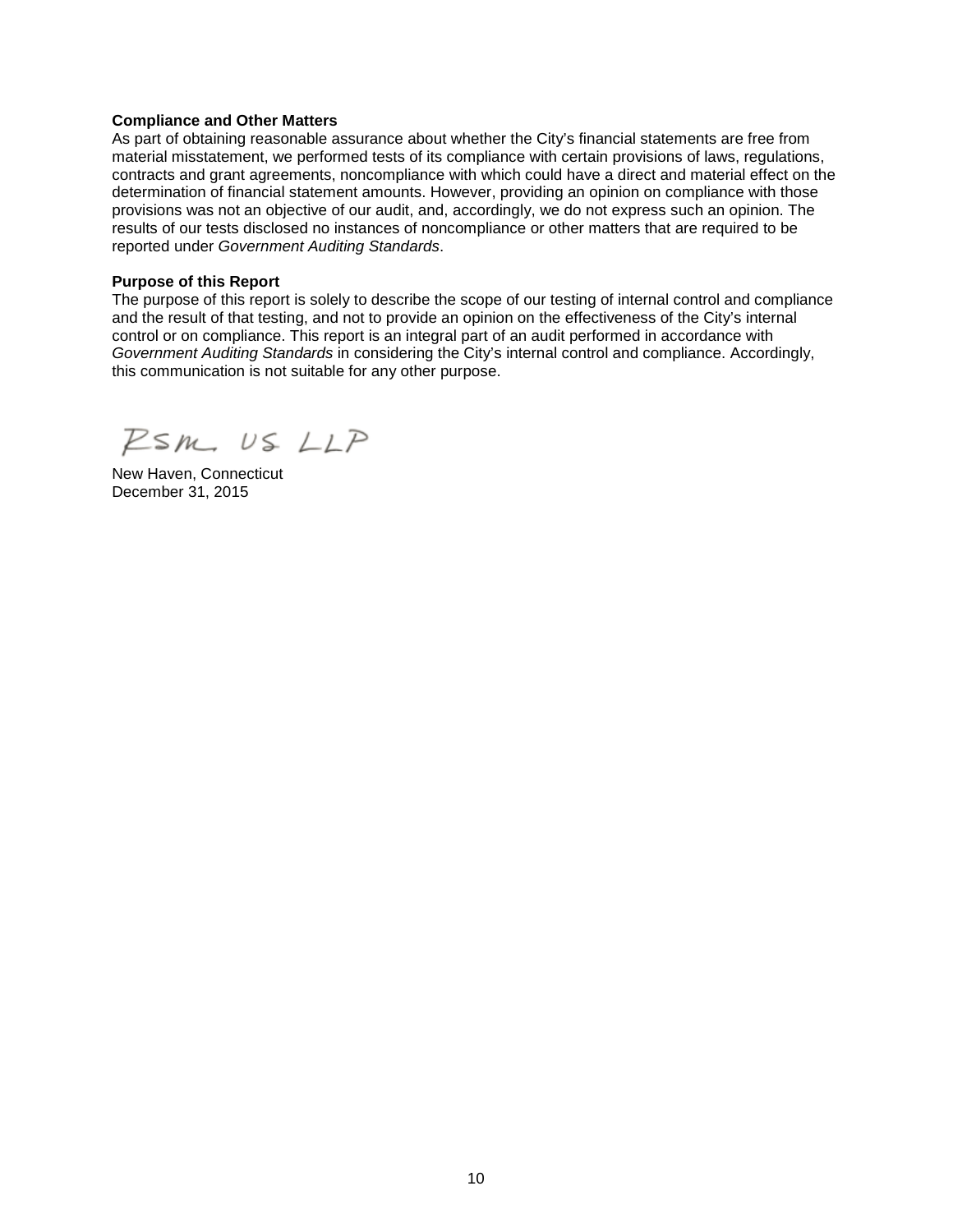## **Compliance and Other Matters**

As part of obtaining reasonable assurance about whether the City's financial statements are free from material misstatement, we performed tests of its compliance with certain provisions of laws, regulations, contracts and grant agreements, noncompliance with which could have a direct and material effect on the determination of financial statement amounts. However, providing an opinion on compliance with those provisions was not an objective of our audit, and, accordingly, we do not express such an opinion. The results of our tests disclosed no instances of noncompliance or other matters that are required to be reported under *Government Auditing Standards*.

#### **Purpose of this Report**

The purpose of this report is solely to describe the scope of our testing of internal control and compliance and the result of that testing, and not to provide an opinion on the effectiveness of the City's internal control or on compliance. This report is an integral part of an audit performed in accordance with *Government Auditing Standards* in considering the City's internal control and compliance. Accordingly, this communication is not suitable for any other purpose.

RSM US LLP

New Haven, Connecticut December 31, 2015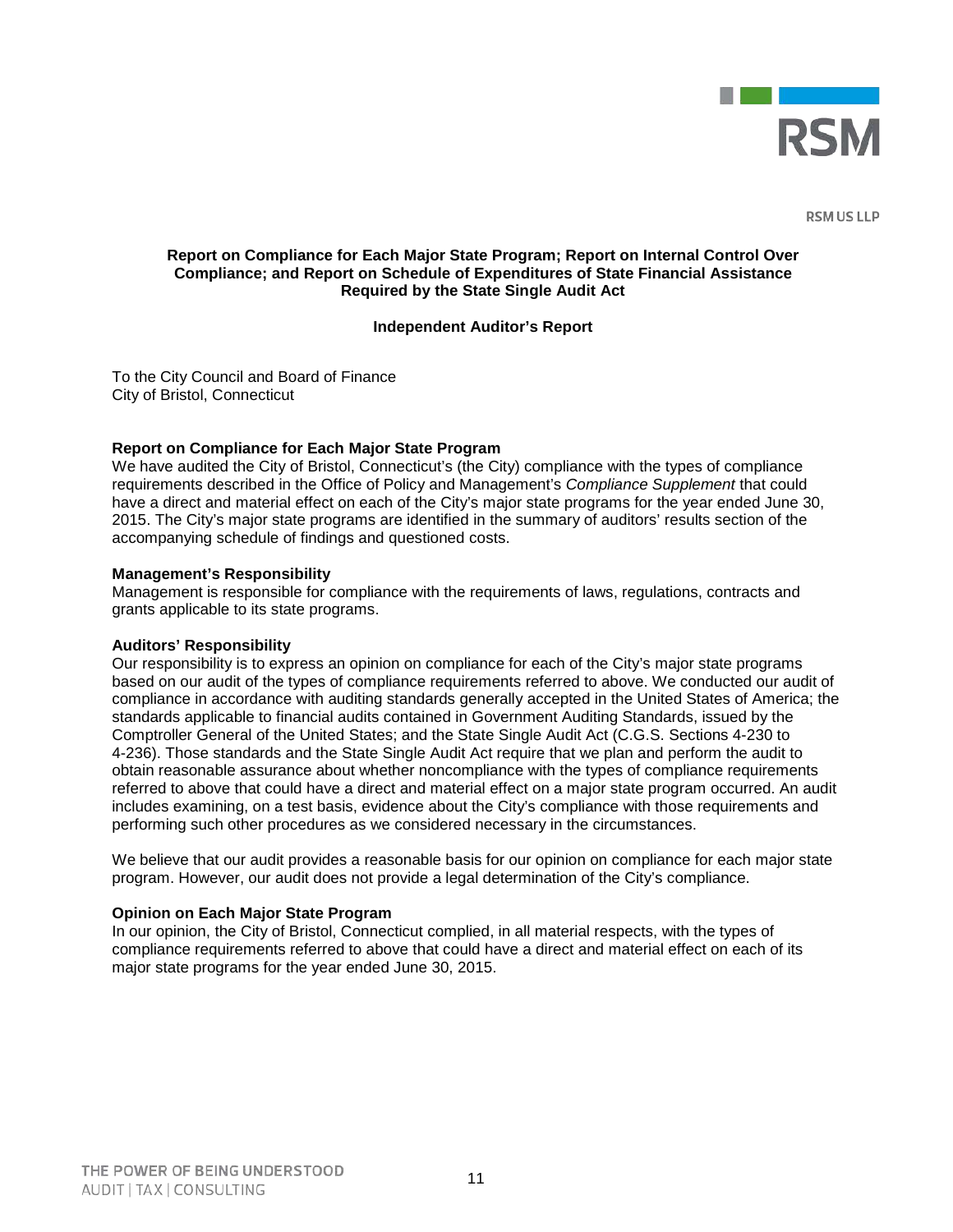

**RSM US LLP** 

## **Report on Compliance for Each Major State Program; Report on Internal Control Over Compliance; and Report on Schedule of Expenditures of State Financial Assistance Required by the State Single Audit Act**

## **Independent Auditor's Report**

To the City Council and Board of Finance City of Bristol, Connecticut

## **Report on Compliance for Each Major State Program**

We have audited the City of Bristol, Connecticut's (the City) compliance with the types of compliance requirements described in the Office of Policy and Management's *Compliance Supplement* that could have a direct and material effect on each of the City's major state programs for the year ended June 30, 2015. The City's major state programs are identified in the summary of auditors' results section of the accompanying schedule of findings and questioned costs.

## **Management's Responsibility**

Management is responsible for compliance with the requirements of laws, regulations, contracts and grants applicable to its state programs.

## **Auditors' Responsibility**

Our responsibility is to express an opinion on compliance for each of the City's major state programs based on our audit of the types of compliance requirements referred to above. We conducted our audit of compliance in accordance with auditing standards generally accepted in the United States of America; the standards applicable to financial audits contained in Government Auditing Standards, issued by the Comptroller General of the United States; and the State Single Audit Act (C.G.S. Sections 4-230 to 4-236). Those standards and the State Single Audit Act require that we plan and perform the audit to obtain reasonable assurance about whether noncompliance with the types of compliance requirements referred to above that could have a direct and material effect on a major state program occurred. An audit includes examining, on a test basis, evidence about the City's compliance with those requirements and performing such other procedures as we considered necessary in the circumstances.

We believe that our audit provides a reasonable basis for our opinion on compliance for each major state program. However, our audit does not provide a legal determination of the City's compliance.

## **Opinion on Each Major State Program**

In our opinion, the City of Bristol, Connecticut complied, in all material respects, with the types of compliance requirements referred to above that could have a direct and material effect on each of its major state programs for the year ended June 30, 2015.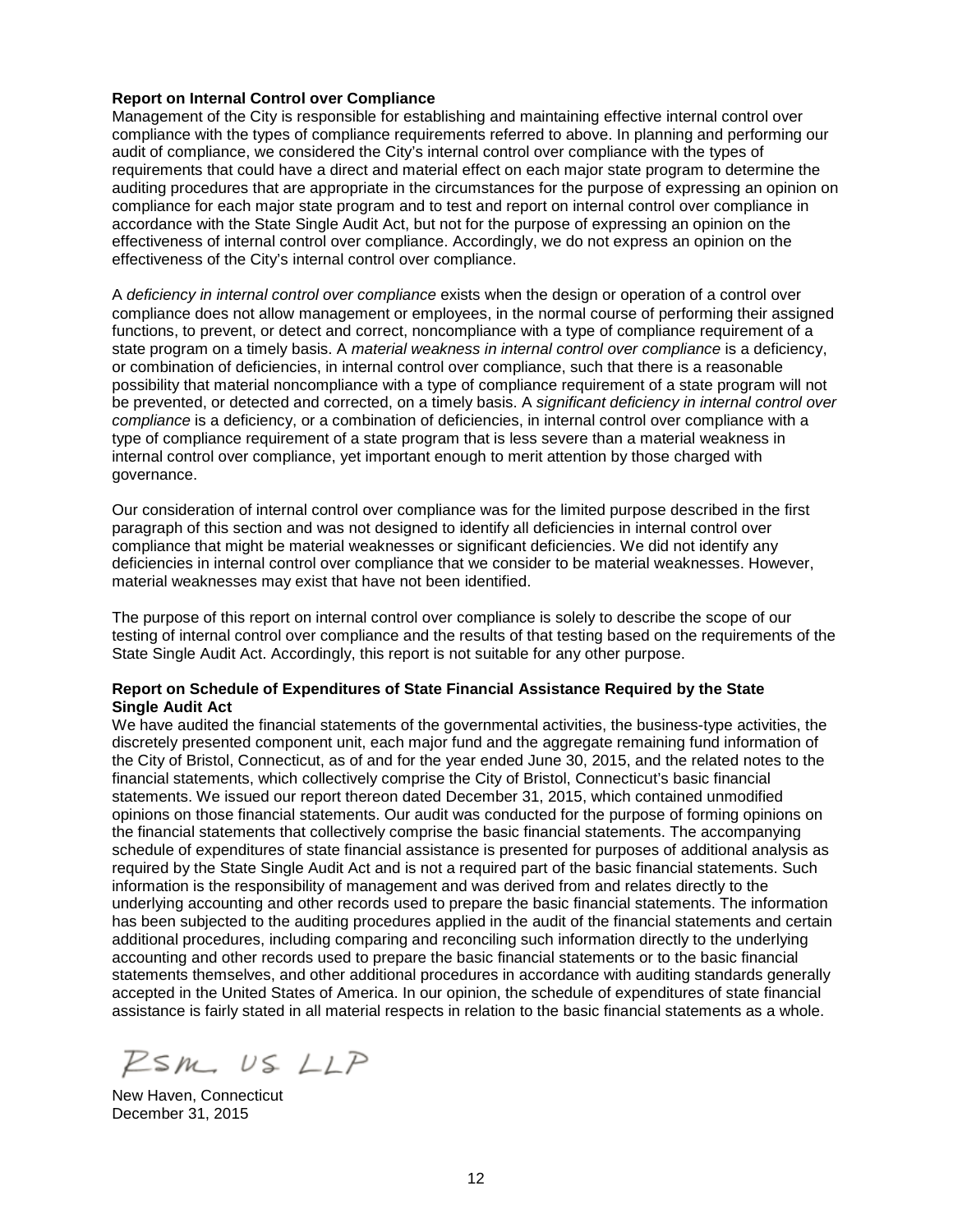#### **Report on Internal Control over Compliance**

Management of the City is responsible for establishing and maintaining effective internal control over compliance with the types of compliance requirements referred to above. In planning and performing our audit of compliance, we considered the City's internal control over compliance with the types of requirements that could have a direct and material effect on each major state program to determine the auditing procedures that are appropriate in the circumstances for the purpose of expressing an opinion on compliance for each major state program and to test and report on internal control over compliance in accordance with the State Single Audit Act, but not for the purpose of expressing an opinion on the effectiveness of internal control over compliance. Accordingly, we do not express an opinion on the effectiveness of the City's internal control over compliance.

A *deficiency in internal control over compliance* exists when the design or operation of a control over compliance does not allow management or employees, in the normal course of performing their assigned functions, to prevent, or detect and correct, noncompliance with a type of compliance requirement of a state program on a timely basis. A *material weakness in internal control over compliance* is a deficiency, or combination of deficiencies, in internal control over compliance, such that there is a reasonable possibility that material noncompliance with a type of compliance requirement of a state program will not be prevented, or detected and corrected, on a timely basis. A *significant deficiency in internal control over compliance* is a deficiency, or a combination of deficiencies, in internal control over compliance with a type of compliance requirement of a state program that is less severe than a material weakness in internal control over compliance, yet important enough to merit attention by those charged with governance.

Our consideration of internal control over compliance was for the limited purpose described in the first paragraph of this section and was not designed to identify all deficiencies in internal control over compliance that might be material weaknesses or significant deficiencies. We did not identify any deficiencies in internal control over compliance that we consider to be material weaknesses. However, material weaknesses may exist that have not been identified.

The purpose of this report on internal control over compliance is solely to describe the scope of our testing of internal control over compliance and the results of that testing based on the requirements of the State Single Audit Act. Accordingly, this report is not suitable for any other purpose.

#### **Report on Schedule of Expenditures of State Financial Assistance Required by the State Single Audit Act**

We have audited the financial statements of the governmental activities, the business-type activities, the discretely presented component unit, each major fund and the aggregate remaining fund information of the City of Bristol, Connecticut, as of and for the year ended June 30, 2015, and the related notes to the financial statements, which collectively comprise the City of Bristol, Connecticut's basic financial statements. We issued our report thereon dated December 31, 2015, which contained unmodified opinions on those financial statements. Our audit was conducted for the purpose of forming opinions on the financial statements that collectively comprise the basic financial statements. The accompanying schedule of expenditures of state financial assistance is presented for purposes of additional analysis as required by the State Single Audit Act and is not a required part of the basic financial statements. Such information is the responsibility of management and was derived from and relates directly to the underlying accounting and other records used to prepare the basic financial statements. The information has been subjected to the auditing procedures applied in the audit of the financial statements and certain additional procedures, including comparing and reconciling such information directly to the underlying accounting and other records used to prepare the basic financial statements or to the basic financial statements themselves, and other additional procedures in accordance with auditing standards generally accepted in the United States of America. In our opinion, the schedule of expenditures of state financial assistance is fairly stated in all material respects in relation to the basic financial statements as a whole.

RSM US LLP

New Haven, Connecticut December 31, 2015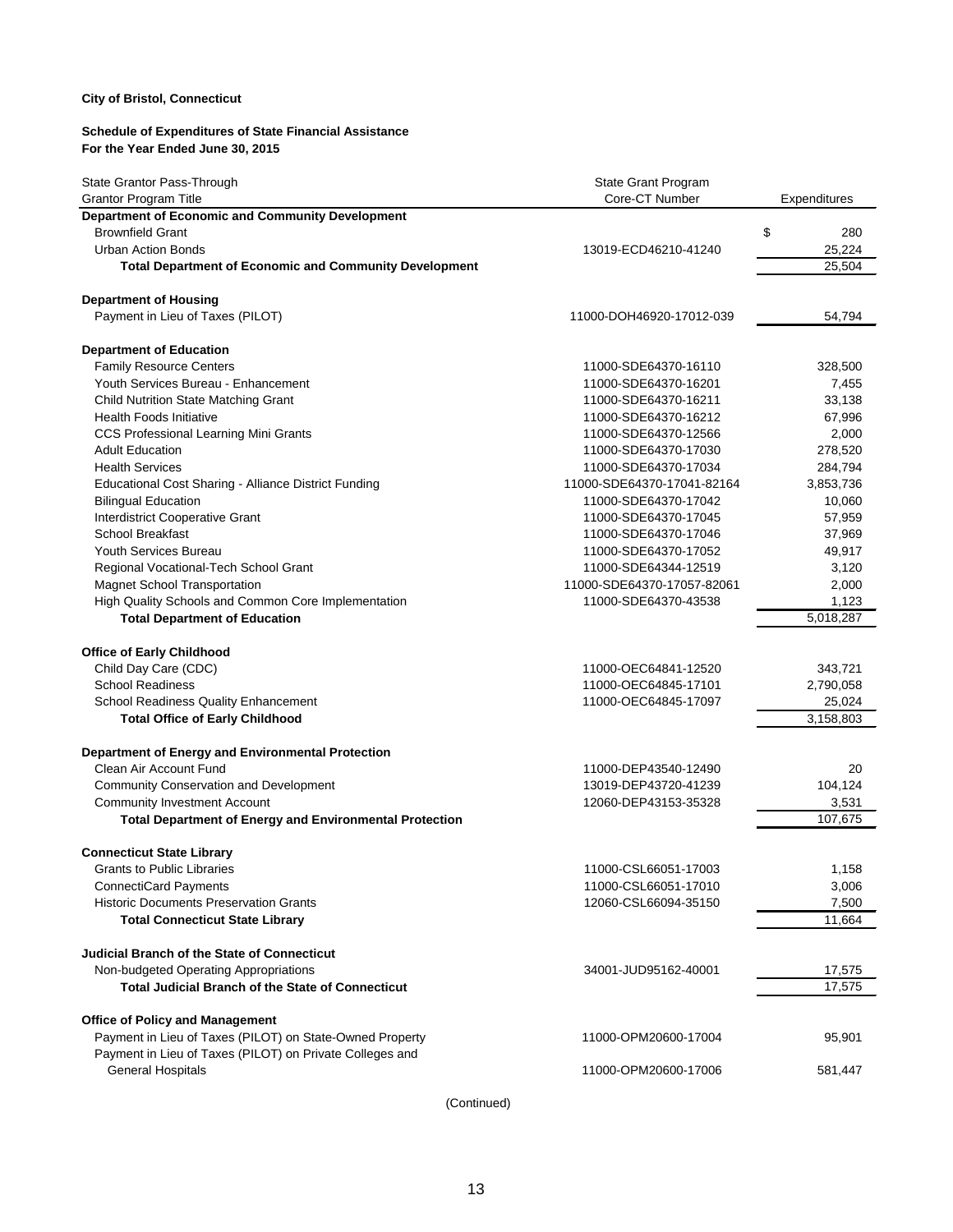#### **Schedule of Expenditures of State Financial Assistance For the Year Ended June 30, 2015**

| State Grantor Pass-Through                                     | State Grant Program        |              |
|----------------------------------------------------------------|----------------------------|--------------|
| <b>Grantor Program Title</b>                                   | Core-CT Number             | Expenditures |
| Department of Economic and Community Development               |                            |              |
| <b>Brownfield Grant</b>                                        |                            | \$<br>280    |
| <b>Urban Action Bonds</b>                                      | 13019-ECD46210-41240       | 25,224       |
| <b>Total Department of Economic and Community Development</b>  |                            | 25,504       |
| <b>Department of Housing</b>                                   |                            |              |
| Payment in Lieu of Taxes (PILOT)                               | 11000-DOH46920-17012-039   | 54,794       |
| <b>Department of Education</b>                                 |                            |              |
| <b>Family Resource Centers</b>                                 | 11000-SDE64370-16110       | 328,500      |
| Youth Services Bureau - Enhancement                            | 11000-SDE64370-16201       | 7,455        |
| <b>Child Nutrition State Matching Grant</b>                    | 11000-SDE64370-16211       | 33,138       |
| <b>Health Foods Initiative</b>                                 | 11000-SDE64370-16212       | 67,996       |
| CCS Professional Learning Mini Grants                          | 11000-SDE64370-12566       | 2,000        |
| <b>Adult Education</b>                                         | 11000-SDE64370-17030       | 278,520      |
| <b>Health Services</b>                                         | 11000-SDE64370-17034       | 284,794      |
| Educational Cost Sharing - Alliance District Funding           | 11000-SDE64370-17041-82164 | 3,853,736    |
| <b>Bilingual Education</b>                                     | 11000-SDE64370-17042       | 10,060       |
| <b>Interdistrict Cooperative Grant</b>                         | 11000-SDE64370-17045       | 57,959       |
| <b>School Breakfast</b>                                        | 11000-SDE64370-17046       | 37,969       |
| Youth Services Bureau                                          | 11000-SDE64370-17052       | 49,917       |
| Regional Vocational-Tech School Grant                          | 11000-SDE64344-12519       | 3,120        |
| Magnet School Transportation                                   | 11000-SDE64370-17057-82061 | 2,000        |
| High Quality Schools and Common Core Implementation            | 11000-SDE64370-43538       | 1,123        |
| <b>Total Department of Education</b>                           |                            | 5,018,287    |
| <b>Office of Early Childhood</b>                               |                            |              |
| Child Day Care (CDC)                                           | 11000-OEC64841-12520       | 343,721      |
| <b>School Readiness</b>                                        | 11000-OEC64845-17101       | 2,790,058    |
| School Readiness Quality Enhancement                           | 11000-OEC64845-17097       | 25,024       |
| <b>Total Office of Early Childhood</b>                         |                            | 3,158,803    |
| Department of Energy and Environmental Protection              |                            |              |
| Clean Air Account Fund                                         | 11000-DEP43540-12490       | 20           |
| <b>Community Conservation and Development</b>                  | 13019-DEP43720-41239       | 104,124      |
| <b>Community Investment Account</b>                            | 12060-DEP43153-35328       | 3,531        |
| <b>Total Department of Energy and Environmental Protection</b> |                            | 107,675      |
| <b>Connecticut State Library</b>                               |                            |              |
| <b>Grants to Public Libraries</b>                              | 11000-CSL66051-17003       | 1,158        |
| <b>ConnectiCard Payments</b>                                   | 11000-CSL66051-17010       | 3,006        |
| <b>Historic Documents Preservation Grants</b>                  | 12060-CSL66094-35150       | 7,500        |
| <b>Total Connecticut State Library</b>                         |                            | 11,664       |
| <b>Judicial Branch of the State of Connecticut</b>             |                            |              |
| Non-budgeted Operating Appropriations                          | 34001-JUD95162-40001       | 17,575       |
| <b>Total Judicial Branch of the State of Connecticut</b>       |                            | 17,575       |
| <b>Office of Policy and Management</b>                         |                            |              |
| Payment in Lieu of Taxes (PILOT) on State-Owned Property       | 11000-OPM20600-17004       | 95,901       |
| Payment in Lieu of Taxes (PILOT) on Private Colleges and       |                            |              |
| <b>General Hospitals</b>                                       | 11000-OPM20600-17006       | 581,447      |
|                                                                |                            |              |

(Continued)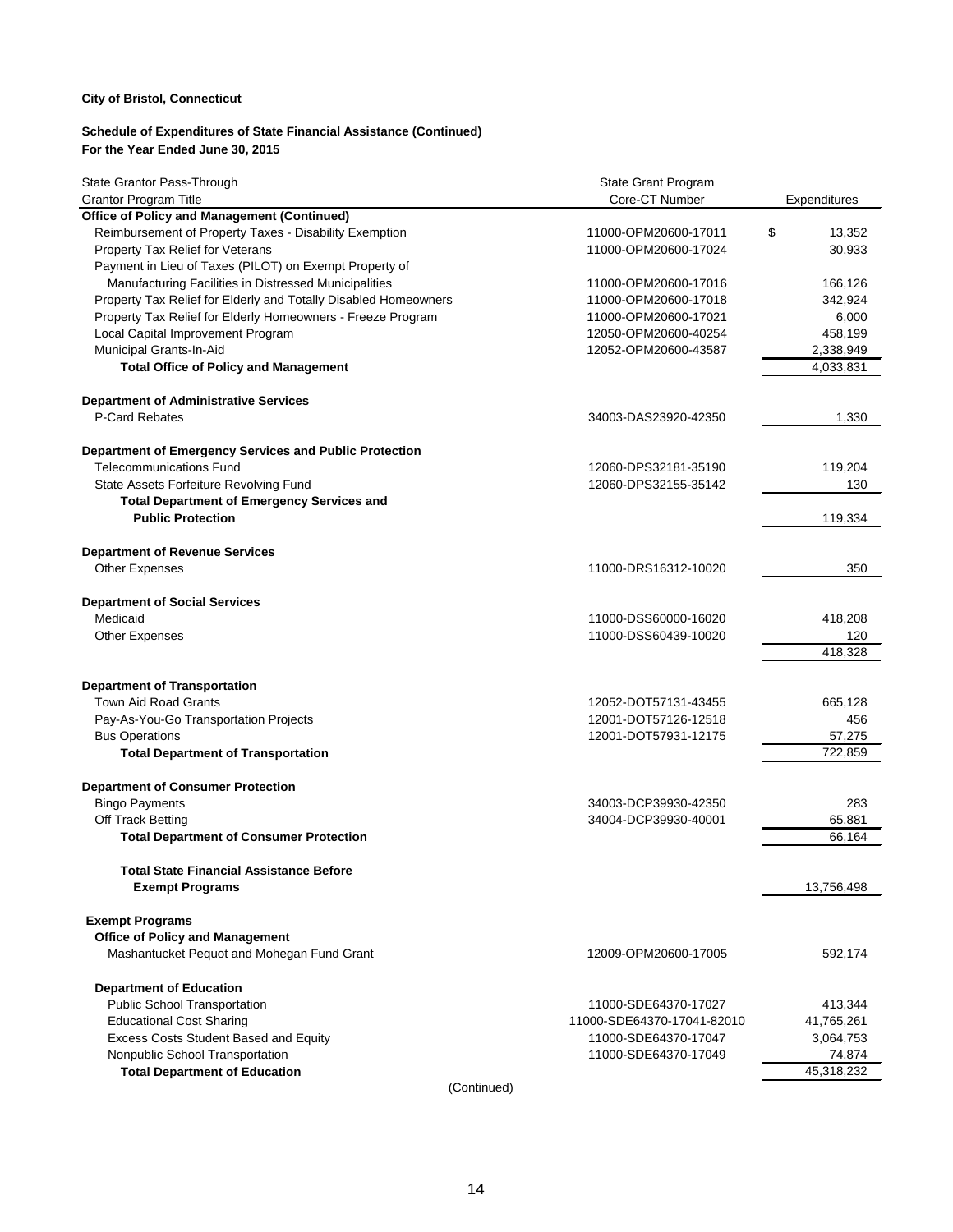#### **Schedule of Expenditures of State Financial Assistance (Continued) For the Year Ended June 30, 2015**

| State Grantor Pass-Through                                            | State Grant Program        |              |
|-----------------------------------------------------------------------|----------------------------|--------------|
| <b>Grantor Program Title</b>                                          | Core-CT Number             | Expenditures |
| <b>Office of Policy and Management (Continued)</b>                    |                            |              |
| Reimbursement of Property Taxes - Disability Exemption                | 11000-OPM20600-17011       | \$<br>13,352 |
| Property Tax Relief for Veterans                                      | 11000-OPM20600-17024       | 30,933       |
| Payment in Lieu of Taxes (PILOT) on Exempt Property of                |                            |              |
| Manufacturing Facilities in Distressed Municipalities                 | 11000-OPM20600-17016       | 166,126      |
| Property Tax Relief for Elderly and Totally Disabled Homeowners       | 11000-OPM20600-17018       | 342,924      |
| Property Tax Relief for Elderly Homeowners - Freeze Program           | 11000-OPM20600-17021       | 6,000        |
| Local Capital Improvement Program                                     | 12050-OPM20600-40254       | 458,199      |
| Municipal Grants-In-Aid                                               | 12052-OPM20600-43587       | 2,338,949    |
| <b>Total Office of Policy and Management</b>                          |                            | 4,033,831    |
|                                                                       |                            |              |
| <b>Department of Administrative Services</b><br><b>P-Card Rebates</b> | 34003-DAS23920-42350       | 1,330        |
|                                                                       |                            |              |
| Department of Emergency Services and Public Protection                |                            |              |
| <b>Telecommunications Fund</b>                                        | 12060-DPS32181-35190       | 119,204      |
| State Assets Forfeiture Revolving Fund                                | 12060-DPS32155-35142       | 130          |
| <b>Total Department of Emergency Services and</b>                     |                            |              |
| <b>Public Protection</b>                                              |                            | 119,334      |
| <b>Department of Revenue Services</b>                                 |                            |              |
| <b>Other Expenses</b>                                                 | 11000-DRS16312-10020       | 350          |
|                                                                       |                            |              |
| <b>Department of Social Services</b>                                  |                            |              |
| Medicaid                                                              | 11000-DSS60000-16020       | 418,208      |
| <b>Other Expenses</b>                                                 | 11000-DSS60439-10020       | 120          |
|                                                                       |                            | 418,328      |
|                                                                       |                            |              |
| <b>Department of Transportation</b>                                   |                            |              |
| Town Aid Road Grants                                                  | 12052-DOT57131-43455       | 665,128      |
| Pay-As-You-Go Transportation Projects                                 | 12001-DOT57126-12518       | 456          |
| <b>Bus Operations</b>                                                 | 12001-DOT57931-12175       | 57,275       |
| <b>Total Department of Transportation</b>                             |                            | 722,859      |
| <b>Department of Consumer Protection</b>                              |                            |              |
| <b>Bingo Payments</b>                                                 | 34003-DCP39930-42350       | 283          |
| Off Track Betting                                                     | 34004-DCP39930-40001       | 65,881       |
| <b>Total Department of Consumer Protection</b>                        |                            | 66,164       |
|                                                                       |                            |              |
| <b>Total State Financial Assistance Before</b>                        |                            |              |
| <b>Exempt Programs</b>                                                |                            | 13,756,498   |
| <b>Exempt Programs</b>                                                |                            |              |
| <b>Office of Policy and Management</b>                                |                            |              |
| Mashantucket Pequot and Mohegan Fund Grant                            | 12009-OPM20600-17005       | 592,174      |
|                                                                       |                            |              |
| <b>Department of Education</b>                                        |                            |              |
| Public School Transportation                                          | 11000-SDE64370-17027       | 413,344      |
| <b>Educational Cost Sharing</b>                                       | 11000-SDE64370-17041-82010 | 41,765,261   |
| Excess Costs Student Based and Equity                                 | 11000-SDE64370-17047       | 3,064,753    |
| Nonpublic School Transportation                                       | 11000-SDE64370-17049       | 74,874       |
| <b>Total Department of Education</b>                                  |                            | 45,318,232   |
| (Continued)                                                           |                            |              |

14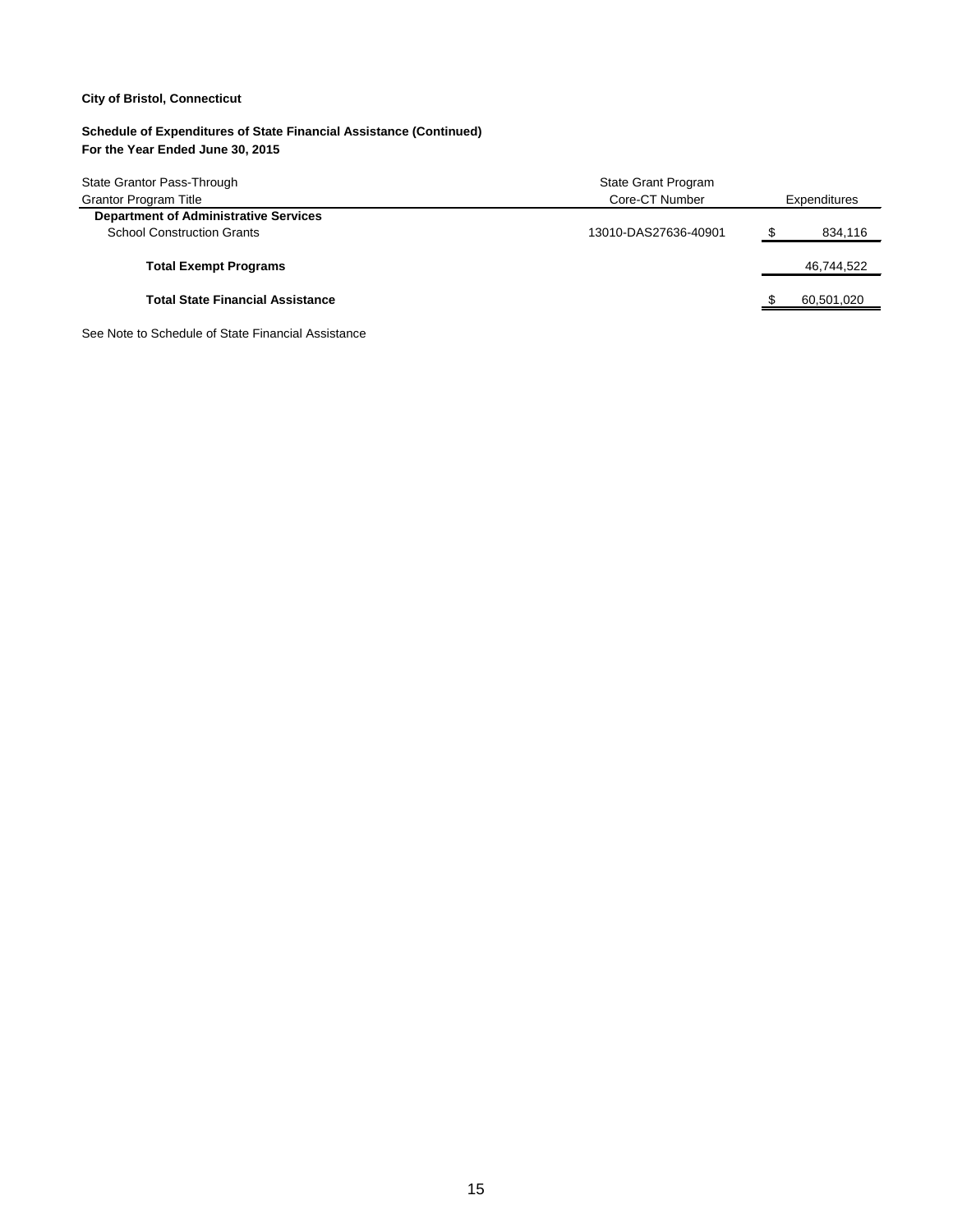#### **Schedule of Expenditures of State Financial Assistance (Continued) For the Year Ended June 30, 2015**

| State Grantor Pass-Through                   | State Grant Program  |              |            |
|----------------------------------------------|----------------------|--------------|------------|
| <b>Grantor Program Title</b>                 | Core-CT Number       | Expenditures |            |
| <b>Department of Administrative Services</b> |                      |              |            |
| <b>School Construction Grants</b>            | 13010-DAS27636-40901 |              | 834,116    |
| <b>Total Exempt Programs</b>                 |                      |              | 46,744,522 |
| <b>Total State Financial Assistance</b>      |                      |              | 60,501,020 |
|                                              |                      |              |            |

See Note to Schedule of State Financial Assistance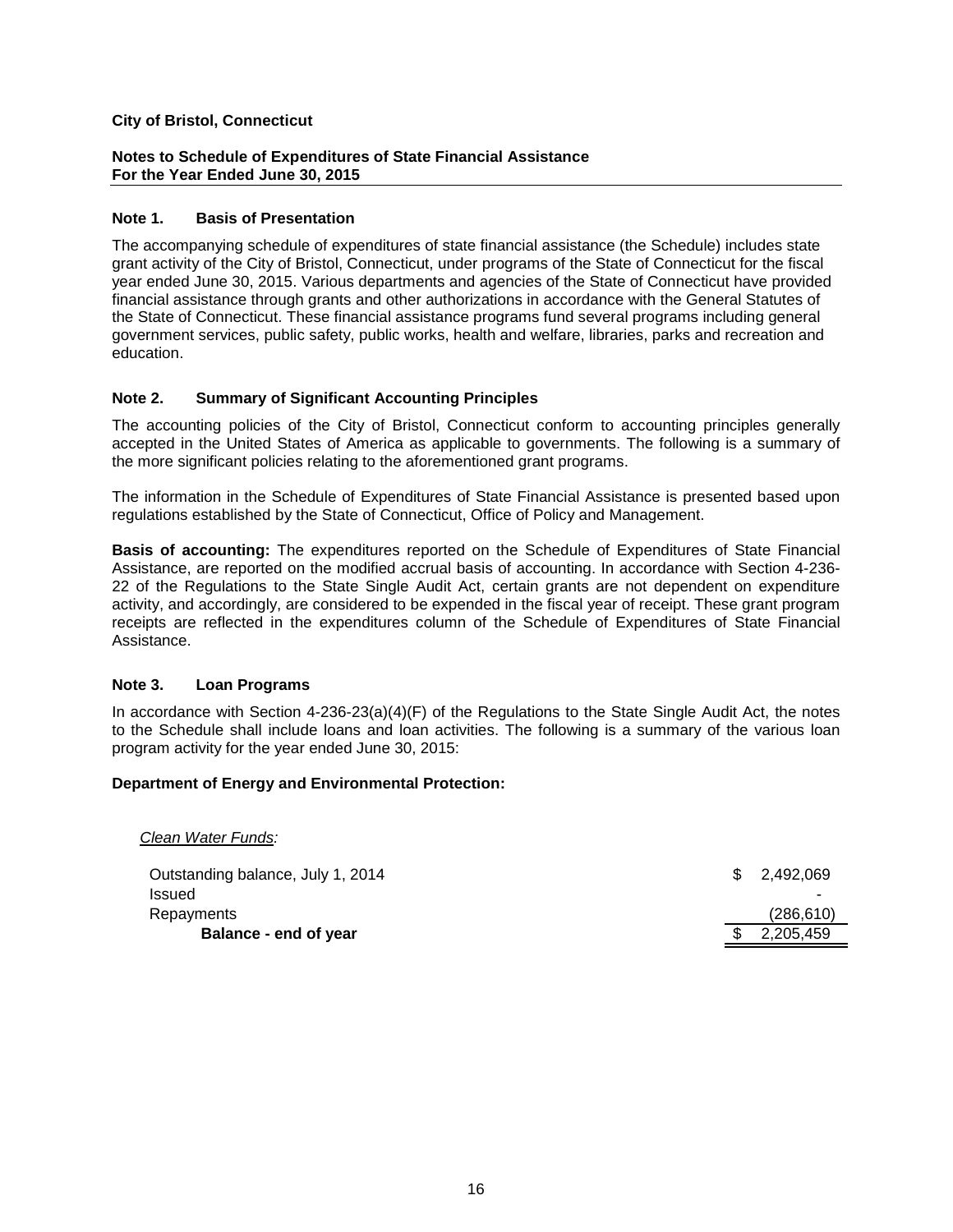## **Notes to Schedule of Expenditures of State Financial Assistance For the Year Ended June 30, 2015**

## **Note 1. Basis of Presentation**

The accompanying schedule of expenditures of state financial assistance (the Schedule) includes state grant activity of the City of Bristol, Connecticut, under programs of the State of Connecticut for the fiscal year ended June 30, 2015. Various departments and agencies of the State of Connecticut have provided financial assistance through grants and other authorizations in accordance with the General Statutes of the State of Connecticut. These financial assistance programs fund several programs including general government services, public safety, public works, health and welfare, libraries, parks and recreation and education.

## **Note 2. Summary of Significant Accounting Principles**

The accounting policies of the City of Bristol, Connecticut conform to accounting principles generally accepted in the United States of America as applicable to governments. The following is a summary of the more significant policies relating to the aforementioned grant programs.

The information in the Schedule of Expenditures of State Financial Assistance is presented based upon regulations established by the State of Connecticut, Office of Policy and Management.

**Basis of accounting:** The expenditures reported on the Schedule of Expenditures of State Financial Assistance, are reported on the modified accrual basis of accounting. In accordance with Section 4-236- 22 of the Regulations to the State Single Audit Act, certain grants are not dependent on expenditure activity, and accordingly, are considered to be expended in the fiscal year of receipt. These grant program receipts are reflected in the expenditures column of the Schedule of Expenditures of State Financial Assistance.

## **Note 3. Loan Programs**

In accordance with Section 4-236-23(a)(4)(F) of the Regulations to the State Single Audit Act, the notes to the Schedule shall include loans and loan activities. The following is a summary of the various loan program activity for the year ended June 30, 2015:

## **Department of Energy and Environmental Protection:**

*Clean Water Funds:*

| Outstanding balance, July 1, 2014 | \$2,492,069              |
|-----------------------------------|--------------------------|
| <b>Issued</b>                     | $\overline{\phantom{0}}$ |
| Repayments                        | (286, 610)               |
| Balance - end of year             | 2,205,459                |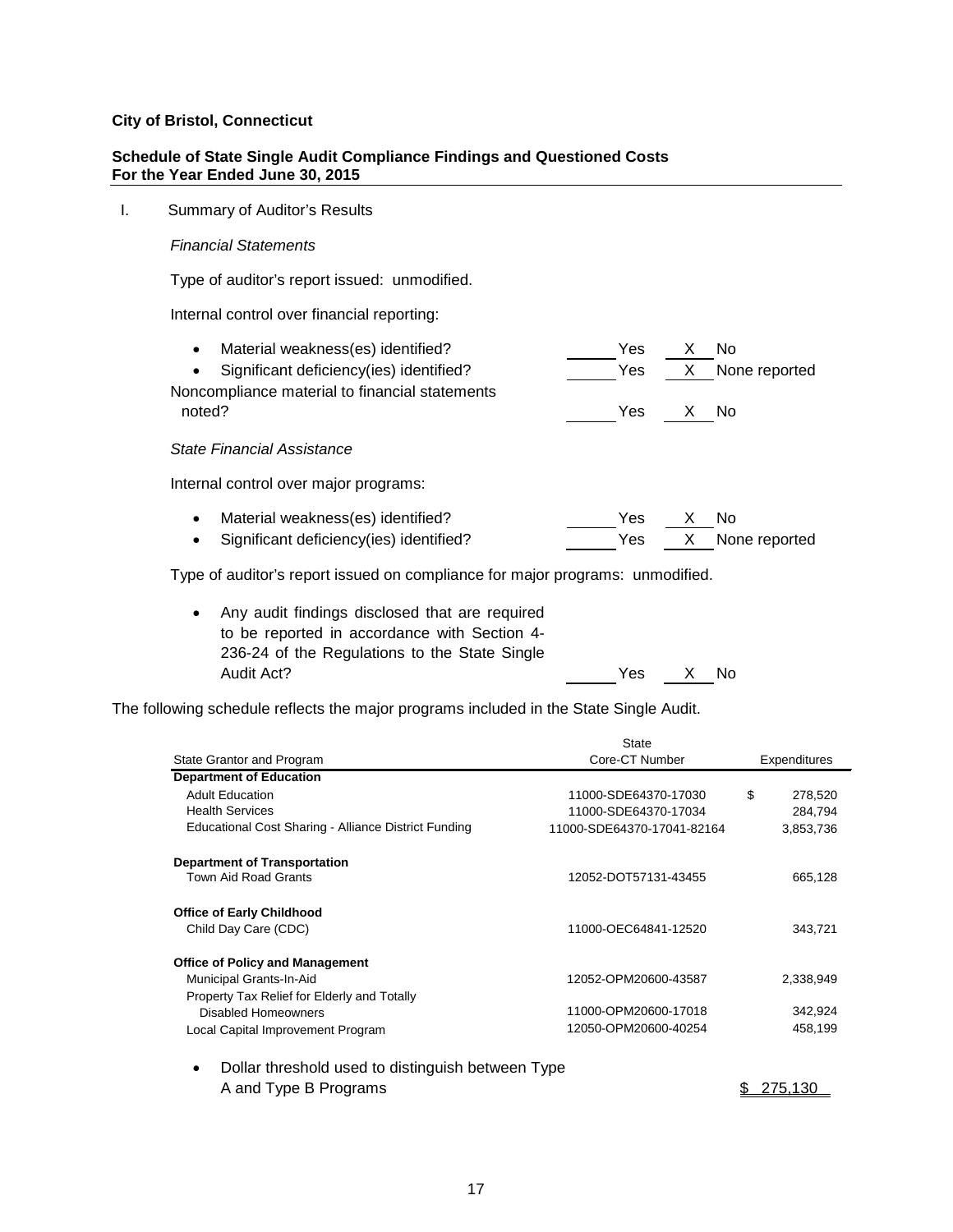#### **Schedule of State Single Audit Compliance Findings and Questioned Costs For the Year Ended June 30, 2015**

I. Summary of Auditor's Results

#### *Financial Statements*

Type of auditor's report issued: unmodified.

Internal control over financial reporting:

| Material weakness(es) identified?<br>$\bullet$ | Yes  | X. | No.             |
|------------------------------------------------|------|----|-----------------|
| • Significant deficiency(ies) identified?      | Yes  |    | X None reported |
| Noncompliance material to financial statements |      |    |                 |
| noted?                                         | Yes. |    | X No            |
|                                                |      |    |                 |

#### *State Financial Assistance*

Internal control over major programs:

- Material weakness(es) identified? The Material weakness and the Material Material of Material Material Material Material Material Material Material Material Material Material Material Material Material Material Material
- Significant deficiency(ies) identified? Yes X None reported

Type of auditor's report issued on compliance for major programs: unmodified.

• Any audit findings disclosed that are required to be reported in accordance with Section 4- 236-24 of the Regulations to the State Single Audit Act? No. 2012 12:30 No. 2012 12:30 No. 2013 12:30 No. 2014 No. 2013 12:30 No. 2014 No. 2014 No. 2014 No.

The following schedule reflects the major programs included in the State Single Audit.

|                                                        | <b>State</b>               |    |              |
|--------------------------------------------------------|----------------------------|----|--------------|
| State Grantor and Program                              | Core-CT Number             |    | Expenditures |
| <b>Department of Education</b>                         |                            |    |              |
| <b>Adult Education</b>                                 | 11000-SDE64370-17030       | \$ | 278,520      |
| <b>Health Services</b>                                 | 11000-SDE64370-17034       |    | 284,794      |
| Educational Cost Sharing - Alliance District Funding   | 11000-SDE64370-17041-82164 |    | 3,853,736    |
| <b>Department of Transportation</b>                    |                            |    |              |
| <b>Town Aid Road Grants</b>                            | 12052-DOT57131-43455       |    | 665,128      |
| <b>Office of Early Childhood</b>                       |                            |    |              |
| Child Day Care (CDC)                                   | 11000-OEC64841-12520       |    | 343,721      |
| <b>Office of Policy and Management</b>                 |                            |    |              |
| Municipal Grants-In-Aid                                | 12052-OPM20600-43587       |    | 2,338,949    |
| Property Tax Relief for Elderly and Totally            |                            |    |              |
| Disabled Homeowners                                    | 11000-OPM20600-17018       |    | 342,924      |
| Local Capital Improvement Program                      | 12050-OPM20600-40254       |    | 458,199      |
| Dollar threshold used to distinguish between Type<br>٠ |                            |    |              |
| A and Type B Programs                                  |                            | æ. | 275.130      |
|                                                        |                            |    |              |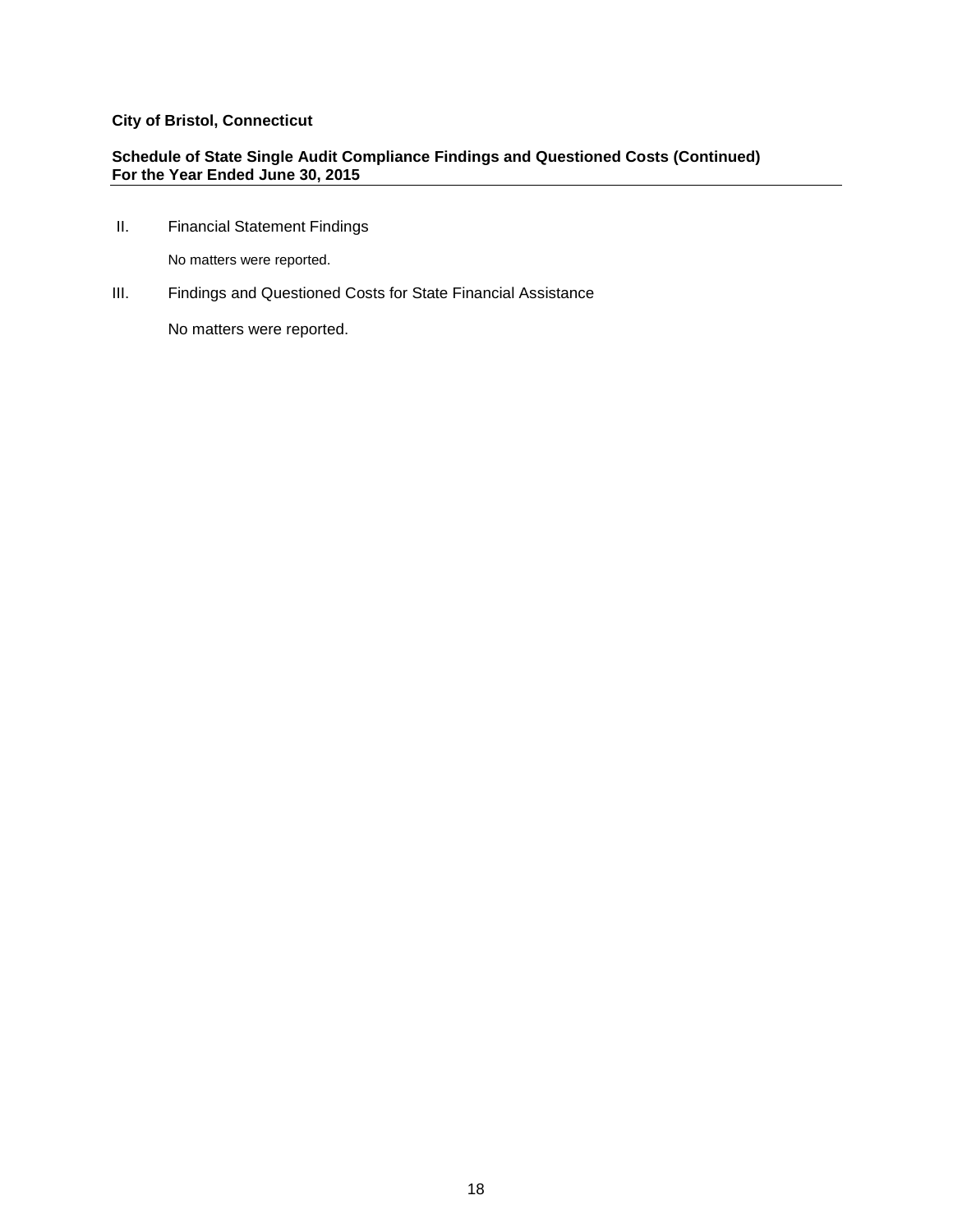## **Schedule of State Single Audit Compliance Findings and Questioned Costs (Continued) For the Year Ended June 30, 2015**

II. Financial Statement Findings

No matters were reported.

III. Findings and Questioned Costs for State Financial Assistance

No matters were reported.